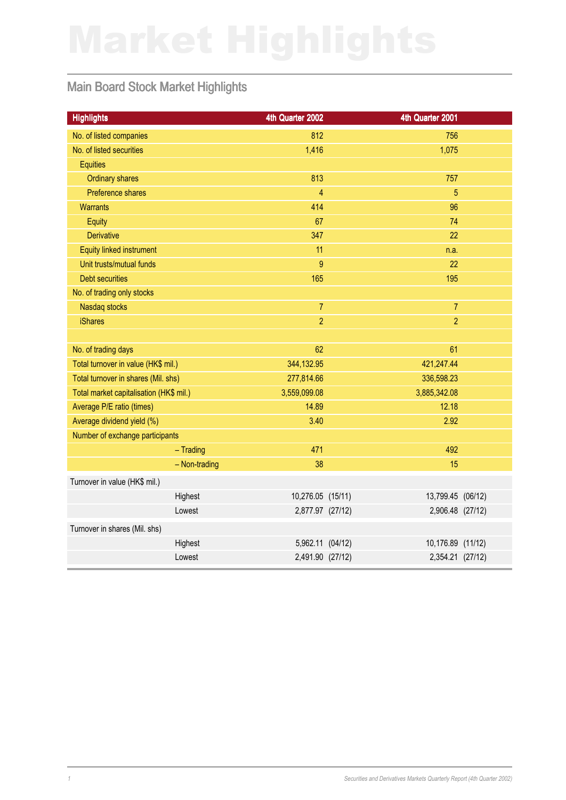## Main Board Stock Market Highlights

| <b>Highlights</b>                       | 4th Quarter 2002  | 4th Quarter 2001  |  |
|-----------------------------------------|-------------------|-------------------|--|
| No. of listed companies                 | 812               | 756               |  |
| No. of listed securities                | 1,416             | 1,075             |  |
| <b>Equities</b>                         |                   |                   |  |
| <b>Ordinary shares</b>                  | 813               | 757               |  |
| Preference shares                       | $\overline{4}$    | 5                 |  |
| <b>Warrants</b>                         | 414               | 96                |  |
| Equity                                  | 67                | 74                |  |
| <b>Derivative</b>                       | 347               | 22                |  |
| <b>Equity linked instrument</b>         | 11                | n.a.              |  |
| Unit trusts/mutual funds                | $\overline{9}$    | 22                |  |
| <b>Debt securities</b>                  | 165               | 195               |  |
| No. of trading only stocks              |                   |                   |  |
| Nasdaq stocks                           | $\overline{7}$    | $\overline{7}$    |  |
| <b>iShares</b>                          | $\overline{2}$    | $\overline{2}$    |  |
|                                         |                   |                   |  |
| No. of trading days                     | 62                | 61                |  |
| Total turnover in value (HK\$ mil.)     | 344,132.95        | 421,247.44        |  |
| Total turnover in shares (Mil. shs)     | 277,814.66        | 336,598.23        |  |
| Total market capitalisation (HK\$ mil.) | 3,559,099.08      | 3,885,342.08      |  |
| Average P/E ratio (times)               | 14.89             | 12.18             |  |
| Average dividend yield (%)              | 3.40              | 2.92              |  |
| Number of exchange participants         |                   |                   |  |
| $-$ Trading                             | 471               | 492               |  |
| - Non-trading                           | 38                | 15                |  |
| Turnover in value (HK\$ mil.)           |                   |                   |  |
| Highest                                 | 10,276.05 (15/11) | 13,799.45 (06/12) |  |
| Lowest                                  | 2,877.97 (27/12)  | 2,906.48 (27/12)  |  |
| Turnover in shares (Mil. shs)           |                   |                   |  |
| Highest                                 | 5,962.11 (04/12)  | 10,176.89 (11/12) |  |
| Lowest                                  | 2,491.90 (27/12)  | 2,354.21 (27/12)  |  |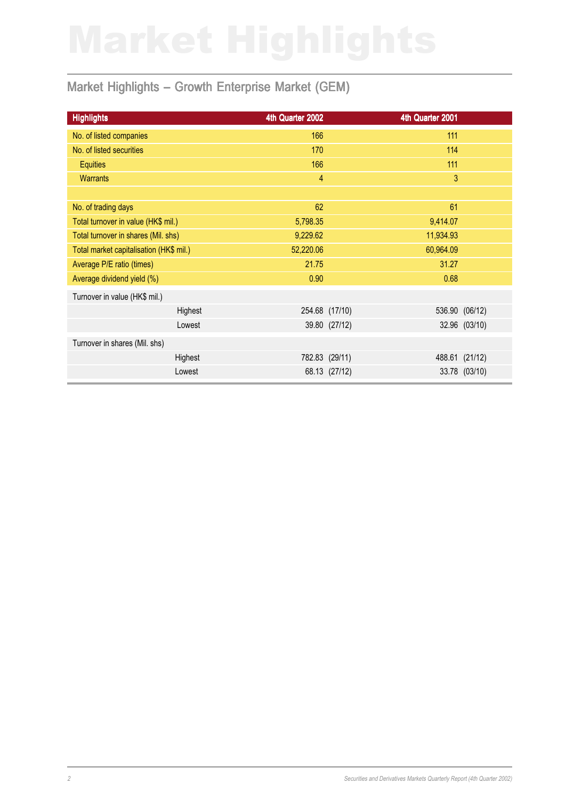### Market Highlights - Growth Enterprise Market (GEM)

| <b>Highlights</b>                       | 4th Quarter 2002 |                | 4th Quarter 2001 |                |
|-----------------------------------------|------------------|----------------|------------------|----------------|
| No. of listed companies                 | 166              |                | 111              |                |
| No. of listed securities                | 170              |                | 114              |                |
| <b>Equities</b>                         | 166              |                | 111              |                |
| <b>Warrants</b>                         | $\overline{4}$   |                | 3                |                |
|                                         |                  |                |                  |                |
| No. of trading days                     | 62               |                | 61               |                |
| Total turnover in value (HK\$ mil.)     | 5,798.35         | 9,414.07       |                  |                |
| Total turnover in shares (Mil. shs)     | 9,229.62         |                | 11,934.93        |                |
| Total market capitalisation (HK\$ mil.) | 52,220.06        |                | 60,964.09        |                |
| Average P/E ratio (times)               | 21.75            |                | 31.27            |                |
| Average dividend yield (%)              | 0.90             |                | 0.68             |                |
| Turnover in value (HK\$ mil.)           |                  |                |                  |                |
| Highest                                 |                  | 254.68 (17/10) |                  | 536.90 (06/12) |
| Lowest                                  |                  | 39.80 (27/12)  |                  | 32.96 (03/10)  |
| Turnover in shares (Mil. shs)           |                  |                |                  |                |
| Highest                                 |                  | 782.83 (29/11) |                  | 488.61 (21/12) |
| Lowest                                  |                  | 68.13 (27/12)  |                  | 33.78 (03/10)  |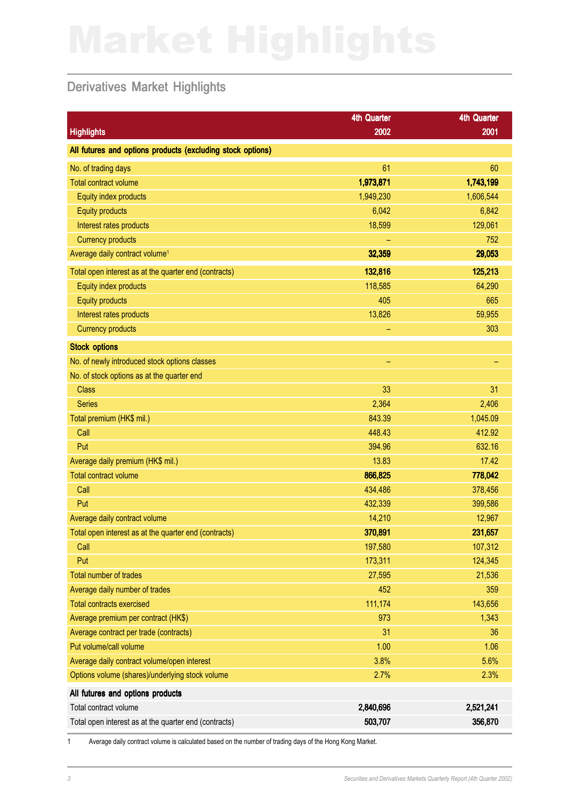### Derivatives Market Highlights

|                                                            | <b>4th Quarter</b> | <b>4th Quarter</b> |
|------------------------------------------------------------|--------------------|--------------------|
| <b>Highlights</b>                                          | 2002               | 2001               |
| All futures and options products (excluding stock options) |                    |                    |
| No. of trading days                                        | 61                 | 60                 |
| <b>Total contract volume</b>                               | 1,973,871          | 1,743,199          |
| Equity index products                                      | 1,949,230          | 1,606,544          |
| <b>Equity products</b>                                     | 6,042              | 6,842              |
| Interest rates products                                    | 18,599             | 129,061            |
| <b>Currency products</b>                                   |                    | 752                |
| Average daily contract volume <sup>1</sup>                 | 32,359             | 29,053             |
| Total open interest as at the quarter end (contracts)      | 132,816            | 125,213            |
| Equity index products                                      | 118,585            | 64,290             |
| <b>Equity products</b>                                     | 405                | 665                |
| Interest rates products                                    | 13,826             | 59,955             |
| <b>Currency products</b>                                   | -                  | 303                |
| <b>Stock options</b>                                       |                    |                    |
| No. of newly introduced stock options classes              | ÷                  | -                  |
| No. of stock options as at the quarter end                 |                    |                    |
| <b>Class</b>                                               | 33                 | 31                 |
| <b>Series</b>                                              | 2,364              | 2,406              |
| Total premium (HK\$ mil.)                                  | 843.39             | 1,045.09           |
| Call                                                       | 448.43             | 412.92             |
| Put                                                        | 394.96             | 632.16             |
| Average daily premium (HK\$ mil.)                          | 13.83              | 17.42              |
| <b>Total contract volume</b>                               | 866,825            | 778,042            |
| Call                                                       | 434,486            | 378,456            |
| Put                                                        | 432,339            | 399,586            |
| Average daily contract volume                              | 14,210             | 12,967             |
| Total open interest as at the quarter end (contracts)      | 370,891            | 231,657            |
| Call                                                       | 197,580            | 107,312            |
| Put                                                        | 173,311            | 124,345            |
| <b>Total number of trades</b>                              | 27,595             | 21,536             |
| Average daily number of trades                             | 452                | 359                |
| <b>Total contracts exercised</b>                           | 111,174            | 143,656            |
| Average premium per contract (HK\$)                        | 973                | 1,343              |
| Average contract per trade (contracts)                     | 31                 | 36                 |
| Put volume/call volume                                     | 1.00               | 1.06               |
| Average daily contract volume/open interest                | 3.8%               | 5.6%               |
| Options volume (shares)/underlying stock volume            | 2.7%               | 2.3%               |
| All futures and options products                           |                    |                    |
| Total contract volume                                      | 2,840,696          | 2,521,241          |
| Total open interest as at the quarter end (contracts)      | 503,707            | 356,870            |

1 Average daily contract volume is calculated based on the number of trading days of the Hong Kong Market.

3 Securities and Derivatives Markets Quarterly Report (4th Quarter 2002)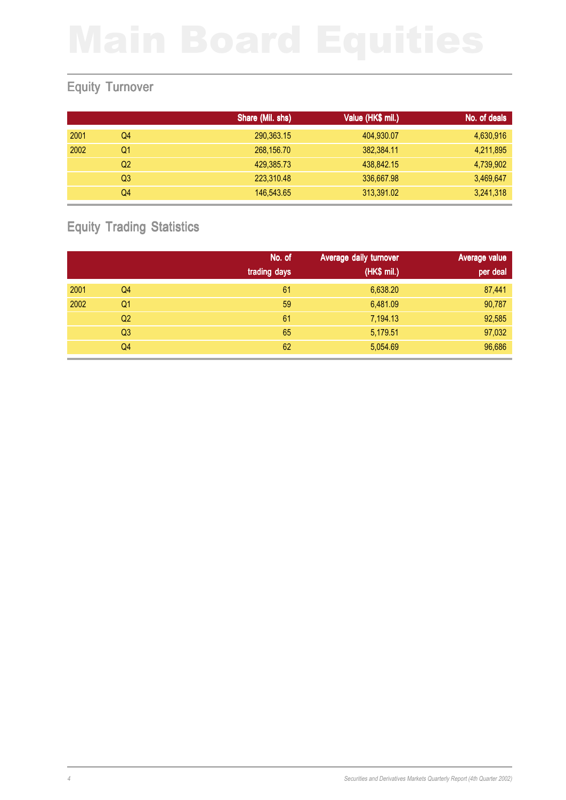### Equity Turnover

|      |                | Share (Mil. shs) | Value (HK\$ mil.) | No. of deals |
|------|----------------|------------------|-------------------|--------------|
| 2001 | Q4             | 290,363.15       | 404,930.07        | 4,630,916    |
| 2002 | Q1             | 268,156.70       | 382,384.11        | 4,211,895    |
|      | Q <sub>2</sub> | 429,385.73       | 438,842.15        | 4,739,902    |
|      | Q3             | 223,310.48       | 336,667.98        | 3,469,647    |
|      | Q4             | 146,543,65       | 313,391.02        | 3,241,318    |

### Equity Trading Statistics

|      |    | No. of<br>trading days | Average daily turnover<br>(HK\$ mil.) | Average value<br>per deal |
|------|----|------------------------|---------------------------------------|---------------------------|
|      |    |                        |                                       |                           |
| 2001 | Q4 | 61                     | 6,638.20                              | 87,441                    |
| 2002 | Q1 | 59                     | 6,481.09                              | 90,787                    |
|      | Q2 | 61                     | 7,194.13                              | 92,585                    |
|      | Q3 | 65                     | 5,179.51                              | 97,032                    |
|      | Q4 | 62                     | 5,054.69                              | 96,686                    |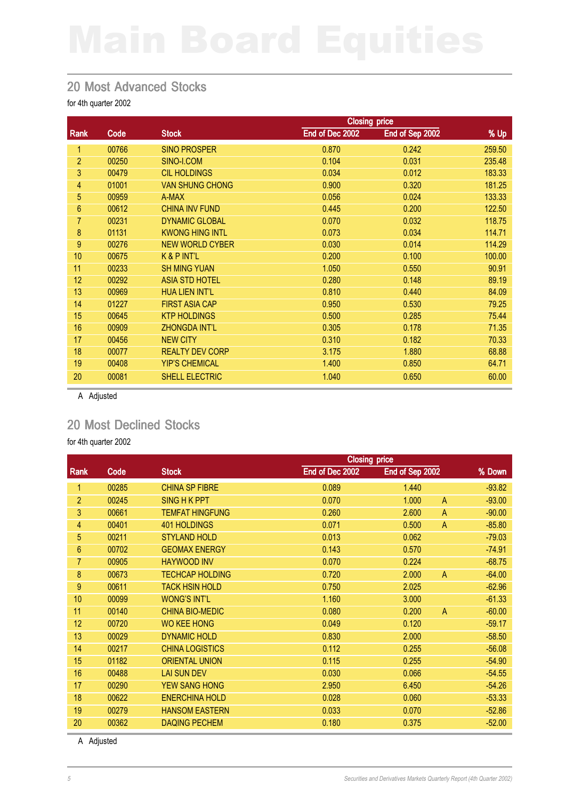### 20 Most Advanced Stocks

for 4th quarter 2002

|                |       |                        | <b>Closing price</b> |                 |        |  |
|----------------|-------|------------------------|----------------------|-----------------|--------|--|
| <b>Rank</b>    | Code  | <b>Stock</b>           | End of Dec 2002      | End of Sep 2002 | % Up   |  |
| 1              | 00766 | <b>SINO PROSPER</b>    | 0.870                | 0.242           | 259.50 |  |
| $\overline{2}$ | 00250 | SINO-I.COM             | 0.104                | 0.031           | 235.48 |  |
| 3              | 00479 | <b>CIL HOLDINGS</b>    | 0.034                | 0.012           | 183.33 |  |
| 4              | 01001 | <b>VAN SHUNG CHONG</b> | 0.900                | 0.320           | 181.25 |  |
| 5              | 00959 | A-MAX                  | 0.056                | 0.024           | 133.33 |  |
| 6              | 00612 | <b>CHINA INV FUND</b>  | 0.445                | 0.200           | 122.50 |  |
| 7              | 00231 | <b>DYNAMIC GLOBAL</b>  | 0.070                | 0.032           | 118.75 |  |
| 8              | 01131 | <b>KWONG HING INTL</b> | 0.073                | 0.034           | 114.71 |  |
| 9              | 00276 | <b>NEW WORLD CYBER</b> | 0.030                | 0.014           | 114.29 |  |
| 10             | 00675 | K & P INT'L            | 0.200                | 0.100           | 100.00 |  |
| 11             | 00233 | <b>SH MING YUAN</b>    | 1.050                | 0.550           | 90.91  |  |
| 12             | 00292 | <b>ASIA STD HOTEL</b>  | 0.280                | 0.148           | 89.19  |  |
| 13             | 00969 | <b>HUA LIEN INT'L</b>  | 0.810                | 0.440           | 84.09  |  |
| 14             | 01227 | <b>FIRST ASIA CAP</b>  | 0.950                | 0.530           | 79.25  |  |
| 15             | 00645 | <b>KTP HOLDINGS</b>    | 0.500                | 0.285           | 75.44  |  |
| 16             | 00909 | <b>ZHONGDA INT'L</b>   | 0.305                | 0.178           | 71.35  |  |
| 17             | 00456 | <b>NEW CITY</b>        | 0.310                | 0.182           | 70.33  |  |
| 18             | 00077 | <b>REALTY DEV CORP</b> | 3.175                | 1.880           | 68.88  |  |
| 19             | 00408 | <b>YIP'S CHEMICAL</b>  | 1.400                | 0.850           | 64.71  |  |
| 20             | 00081 | SHELL ELECTRIC         | 1.040                | 0.650           | 60.00  |  |

A Adjusted

### 20 Most Declined Stocks

for 4th quarter 2002

|       |                        | <b>Closing price</b> |       |                |                 |
|-------|------------------------|----------------------|-------|----------------|-----------------|
| Code  | <b>Stock</b>           | End of Dec 2002      |       |                | % Down          |
| 00285 | <b>CHINA SP FIBRE</b>  | 0.089                | 1.440 |                | $-93.82$        |
| 00245 | <b>SING H K PPT</b>    | 0.070                | 1.000 | $\overline{A}$ | $-93.00$        |
| 00661 | <b>TEMFAT HINGFUNG</b> | 0.260                | 2.600 | $\mathsf{A}$   | $-90.00$        |
| 00401 | <b>401 HOLDINGS</b>    | 0.071                | 0.500 | $\mathsf{A}$   | $-85.80$        |
| 00211 | <b>STYLAND HOLD</b>    | 0.013                | 0.062 |                | $-79.03$        |
| 00702 | <b>GEOMAX ENERGY</b>   | 0.143                | 0.570 |                | $-74.91$        |
| 00905 | <b>HAYWOOD INV</b>     | 0.070                | 0.224 |                | $-68.75$        |
| 00673 | <b>TECHCAP HOLDING</b> | 0.720                | 2.000 | $\overline{A}$ | $-64.00$        |
| 00611 | <b>TACK HSIN HOLD</b>  | 0.750                | 2.025 |                | $-62.96$        |
| 00099 | <b>WONG'S INT'L</b>    | 1.160                | 3.000 |                | $-61.33$        |
| 00140 | <b>CHINA BIO-MEDIC</b> | 0.080                | 0.200 | $\overline{A}$ | $-60.00$        |
| 00720 | <b>WO KEE HONG</b>     | 0.049                | 0.120 |                | $-59.17$        |
| 00029 | <b>DYNAMIC HOLD</b>    | 0.830                | 2.000 |                | $-58.50$        |
| 00217 | <b>CHINA LOGISTICS</b> | 0.112                | 0.255 |                | $-56.08$        |
| 01182 | <b>ORIENTAL UNION</b>  | 0.115                | 0.255 |                | $-54.90$        |
| 00488 | <b>LAI SUN DEV</b>     | 0.030                | 0.066 |                | $-54.55$        |
| 00290 | <b>YEW SANG HONG</b>   | 2.950                | 6.450 |                | $-54.26$        |
| 00622 | <b>ENERCHINA HOLD</b>  | 0.028                | 0.060 |                | $-53.33$        |
| 00279 | <b>HANSOM EASTERN</b>  | 0.033                | 0.070 |                | $-52.86$        |
| 00362 | <b>DAQING PECHEM</b>   | 0.180                | 0.375 |                | $-52.00$        |
|       |                        |                      |       |                | End of Sep 2002 |

A Adjusted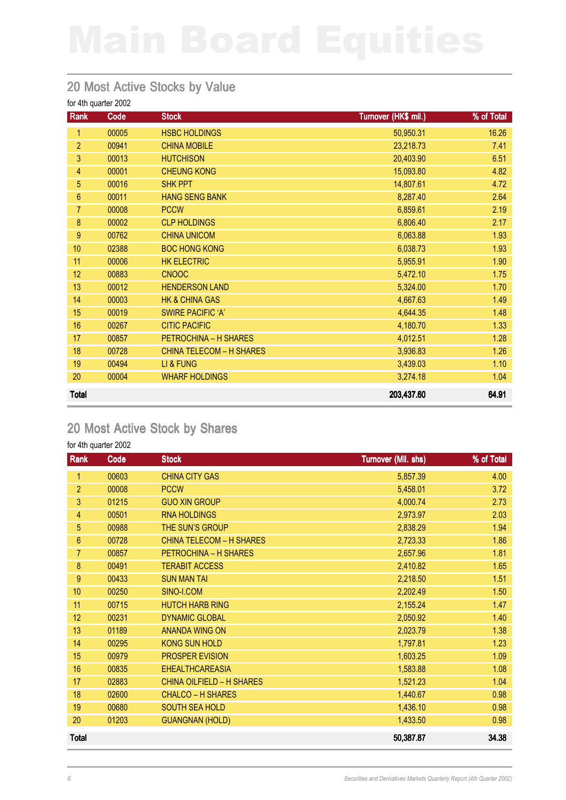### 20 Most Active Stocks by Value

| for 4th quarter 2002 |  |  |
|----------------------|--|--|
|----------------------|--|--|

| Rank           | Code  | <b>Stock</b>                    | Turnover (HK\$ mil.) | % of Total |
|----------------|-------|---------------------------------|----------------------|------------|
| 1              | 00005 | <b>HSBC HOLDINGS</b>            | 50,950.31            | 16.26      |
| $\overline{2}$ | 00941 | <b>CHINA MOBILE</b>             | 23,218.73            | 7.41       |
| 3              | 00013 | <b>HUTCHISON</b>                | 20,403.90            | 6.51       |
| 4              | 00001 | <b>CHEUNG KONG</b>              | 15,093.80            | 4.82       |
| 5              | 00016 | <b>SHK PPT</b>                  | 14,807.61            | 4.72       |
| 6              | 00011 | <b>HANG SENG BANK</b>           | 8,287.40             | 2.64       |
| 7              | 00008 | <b>PCCW</b>                     | 6,859.61             | 2.19       |
| 8              | 00002 | <b>CLP HOLDINGS</b>             | 6,806.40             | 2.17       |
| 9              | 00762 | <b>CHINA UNICOM</b>             | 6,063.88             | 1.93       |
| 10             | 02388 | <b>BOC HONG KONG</b>            | 6,038.73             | 1.93       |
| 11             | 00006 | <b>HK ELECTRIC</b>              | 5,955.91             | 1.90       |
| 12             | 00883 | <b>CNOOC</b>                    | 5,472.10             | 1.75       |
| 13             | 00012 | <b>HENDERSON LAND</b>           | 5,324.00             | 1.70       |
| 14             | 00003 | <b>HK &amp; CHINA GAS</b>       | 4,667.63             | 1.49       |
| 15             | 00019 | <b>SWIRE PACIFIC 'A'</b>        | 4,644.35             | 1.48       |
| 16             | 00267 | <b>CITIC PACIFIC</b>            | 4,180.70             | 1.33       |
| 17             | 00857 | PETROCHINA - H SHARES           | 4,012.51             | 1.28       |
| 18             | 00728 | <b>CHINA TELECOM - H SHARES</b> | 3,936.83             | 1.26       |
| 19             | 00494 | LI & FUNG                       | 3,439.03             | 1.10       |
| 20             | 00004 | <b>WHARF HOLDINGS</b>           | 3,274.18             | 1.04       |
| <b>Total</b>   |       |                                 | 203,437.60           | 64.91      |

### 20 Most Active Stock by Shares

| Rank           | Code  | <b>Stock</b>                     | Turnover (Mil. shs) | % of Total |
|----------------|-------|----------------------------------|---------------------|------------|
| 1              | 00603 | <b>CHINA CITY GAS</b>            | 5,857.39            | 4.00       |
| $\overline{2}$ | 00008 | <b>PCCW</b>                      | 5,458.01            | 3.72       |
| 3              | 01215 | <b>GUO XIN GROUP</b>             | 4,000.74            | 2.73       |
| 4              | 00501 | <b>RNA HOLDINGS</b>              | 2,973.97            | 2.03       |
| 5              | 00988 | THE SUN'S GROUP                  | 2,838.29            | 1.94       |
| 6              | 00728 | <b>CHINA TELECOM - H SHARES</b>  | 2,723.33            | 1.86       |
| 7              | 00857 | PETROCHINA - H SHARES            | 2,657.96            | 1.81       |
| 8              | 00491 | <b>TERABIT ACCESS</b>            | 2,410.82            | 1.65       |
| 9              | 00433 | <b>SUN MAN TAI</b>               | 2,218.50            | 1.51       |
| 10             | 00250 | SINO-I.COM                       | 2,202.49            | 1.50       |
| 11             | 00715 | <b>HUTCH HARB RING</b>           | 2,155.24            | 1.47       |
| 12             | 00231 | <b>DYNAMIC GLOBAL</b>            | 2,050.92            | 1.40       |
| 13             | 01189 | <b>ANANDA WING ON</b>            | 2,023.79            | 1.38       |
| 14             | 00295 | <b>KONG SUN HOLD</b>             | 1,797.81            | 1.23       |
| 15             | 00979 | <b>PROSPER EVISION</b>           | 1,603.25            | 1.09       |
| 16             | 00835 | <b>EHEALTHCAREASIA</b>           | 1,583.88            | 1.08       |
| 17             | 02883 | <b>CHINA OILFIELD - H SHARES</b> | 1,521.23            | 1.04       |
| 18             | 02600 | <b>CHALCO - H SHARES</b>         | 1,440.67            | 0.98       |
| 19             | 00680 | SOUTH SEA HOLD                   | 1,436.10            | 0.98       |
| 20             | 01203 | <b>GUANGNAN (HOLD)</b>           | 1,433.50            | 0.98       |
| <b>Total</b>   |       |                                  | 50,387.87           | 34.38      |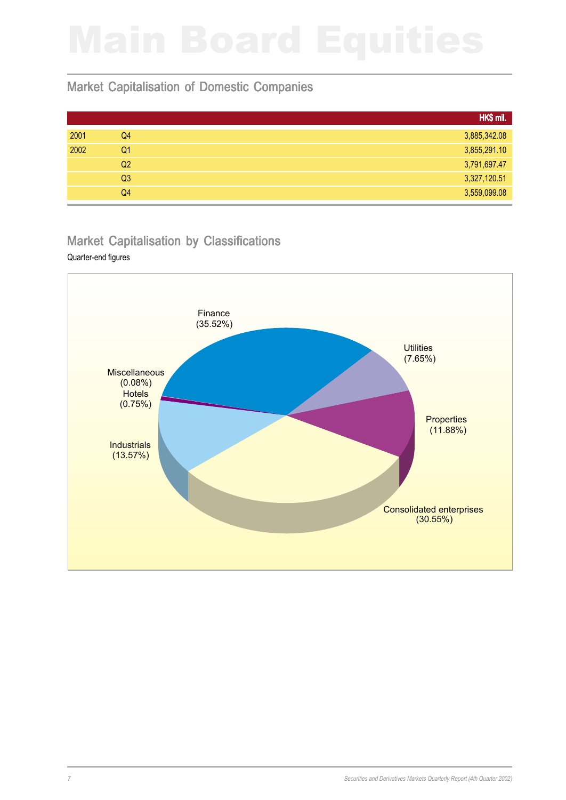### Market Capitalisation of Domestic Companies

|      |                | HK\$ mil.    |
|------|----------------|--------------|
| 2001 | Q4             | 3,885,342.08 |
| 2002 | Q <sub>1</sub> | 3,855,291.10 |
|      | Q <sub>2</sub> | 3,791,697.47 |
|      | Q <sub>3</sub> | 3,327,120.51 |
|      | Q4             | 3,559,099.08 |

### Market Capitalisation by Classifications

### Quarter-end figures

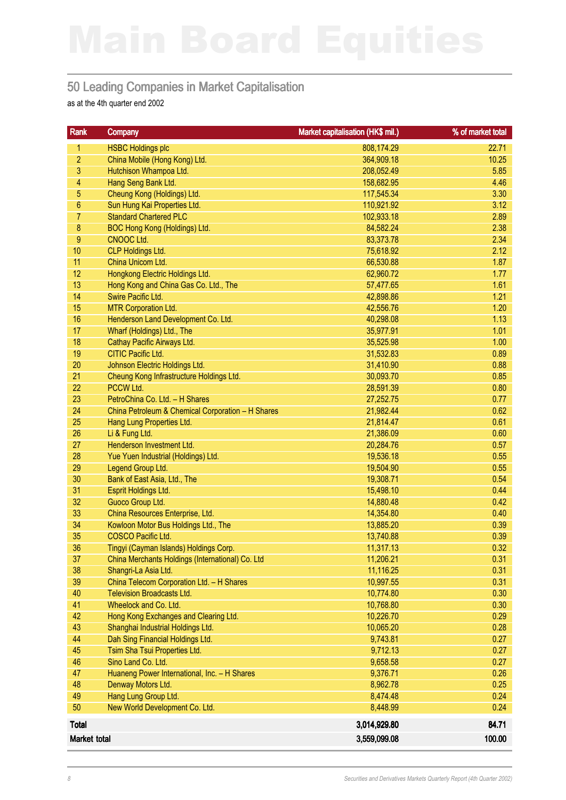### 50 Leading Companies in Market Capitalisation

as at the 4th quarter end 2002

| Rank           | <b>Company</b>                                    | Market capitalisation (HK\$ mil.) | % of market total |
|----------------|---------------------------------------------------|-----------------------------------|-------------------|
| 1              | <b>HSBC Holdings plc</b>                          | 808,174.29                        | 22.71             |
| $\overline{2}$ | China Mobile (Hong Kong) Ltd.                     | 364,909.18                        | 10.25             |
| 3              | Hutchison Whampoa Ltd.                            | 208,052.49                        | 5.85              |
| $\overline{4}$ | Hang Seng Bank Ltd.                               | 158,682.95                        | 4.46              |
| 5              | Cheung Kong (Holdings) Ltd.                       | 117,545.34                        | 3.30              |
| $6\phantom{.}$ | Sun Hung Kai Properties Ltd.                      | 110,921.92                        | 3.12              |
| $\overline{7}$ | <b>Standard Chartered PLC</b>                     | 102,933.18                        | 2.89              |
| 8              | BOC Hong Kong (Holdings) Ltd.                     | 84,582.24                         | 2.38              |
| $9$            | CNOOC Ltd.                                        | 83,373.78                         | 2.34              |
| 10             | <b>CLP Holdings Ltd.</b>                          | 75,618.92                         | 2.12              |
| 11             | China Unicom Ltd.                                 | 66,530.88                         | 1.87              |
| 12             | Hongkong Electric Holdings Ltd.                   | 62,960.72                         | 1.77              |
| 13             | Hong Kong and China Gas Co. Ltd., The             | 57,477.65                         | 1.61              |
| 14             | Swire Pacific Ltd.                                | 42,898.86                         | 1.21              |
| 15             | <b>MTR Corporation Ltd.</b>                       | 42,556.76                         | 1.20              |
| 16             | Henderson Land Development Co. Ltd.               | 40,298.08                         | 1.13              |
| 17             | Wharf (Holdings) Ltd., The                        | 35,977.91                         | 1.01              |
| 18             | Cathay Pacific Airways Ltd.                       | 35,525.98                         | 1.00              |
| 19             | <b>CITIC Pacific Ltd.</b>                         | 31,532.83                         | 0.89              |
| 20             | Johnson Electric Holdings Ltd.                    | 31,410.90                         | 0.88              |
| 21             | Cheung Kong Infrastructure Holdings Ltd.          | 30,093.70                         | 0.85              |
| 22             | PCCW Ltd.                                         | 28,591.39                         | 0.80              |
| 23             | PetroChina Co. Ltd. - H Shares                    | 27,252.75                         | 0.77              |
| 24             | China Petroleum & Chemical Corporation - H Shares | 21,982.44                         | 0.62              |
| 25             | Hang Lung Properties Ltd.                         | 21,814.47                         | 0.61              |
| 26             | Li & Fung Ltd.                                    | 21,386.09                         | 0.60              |
| 27             | Henderson Investment Ltd.                         | 20,284.76                         | 0.57              |
| 28             | Yue Yuen Industrial (Holdings) Ltd.               | 19,536.18                         | 0.55              |
| 29             | Legend Group Ltd.                                 | 19,504.90                         | 0.55              |
| 30             | Bank of East Asia, Ltd., The                      | 19,308.71                         | 0.54              |
| 31             | Esprit Holdings Ltd.                              | 15,498.10                         | 0.44              |
| 32             | Guoco Group Ltd.                                  | 14,880.48                         | 0.42              |
| 33             | China Resources Enterprise, Ltd.                  | 14,354.80                         | 0.40              |
| 34             | Kowloon Motor Bus Holdings Ltd., The              | 13,885.20                         | 0.39              |
| 35             | COSCO Pacific Ltd.                                | 13,740.88                         | 0.39              |
| 36             | Tingyi (Cayman Islands) Holdings Corp.            | 11,317.13                         | 0.32              |
| 37             | China Merchants Holdings (International) Co. Ltd  | 11,206.21                         | 0.31              |
| 38             | Shangri-La Asia Ltd.                              | 11,116.25                         | 0.31              |
| 39             | China Telecom Corporation Ltd. - H Shares         | 10,997.55                         | 0.31              |
| 40             | <b>Television Broadcasts Ltd.</b>                 | 10,774.80                         | 0.30              |
| 41             | Wheelock and Co. Ltd.                             | 10,768.80                         | 0.30              |
| 42             | Hong Kong Exchanges and Clearing Ltd.             | 10,226.70                         | 0.29              |
| 43             | Shanghai Industrial Holdings Ltd.                 | 10,065.20                         | 0.28              |
| 44             | Dah Sing Financial Holdings Ltd.                  | 9,743.81                          | 0.27              |
| 45             | Tsim Sha Tsui Properties Ltd.                     | 9,712.13                          | 0.27              |
| 46             | Sino Land Co. Ltd.                                | 9,658.58                          | 0.27              |
| 47             | Huaneng Power International, Inc. - H Shares      | 9,376.71                          | 0.26              |
| 48             | Denway Motors Ltd.                                | 8,962.78                          | 0.25              |
| 49             | Hang Lung Group Ltd.                              | 8,474.48                          | 0.24              |
| 50             | New World Development Co. Ltd.                    | 8,448.99                          | 0.24              |
| <b>Total</b>   |                                                   | 3,014,929.80                      | 84.71             |
| Market total   |                                                   | 3,559,099.08                      | 100.00            |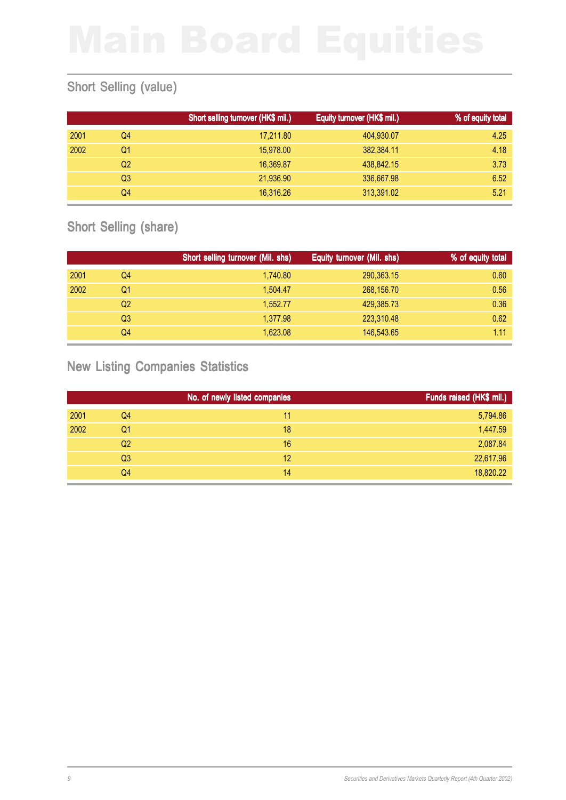### Short Selling (value)

|      |    | Short selling turnover (HK\$ mil.) | Equity turnover (HK\$ mil.) | % of equity total |
|------|----|------------------------------------|-----------------------------|-------------------|
| 2001 | Q4 | 17,211.80                          | 404,930.07                  | 4.25              |
| 2002 | Q1 | 15,978,00                          | 382.384.11                  | 4.18              |
|      | Q2 | 16,369.87                          | 438,842.15                  | 3.73              |
|      | Q3 | 21,936.90                          | 336,667.98                  | 6.52              |
|      | Q4 | 16,316.26                          | 313,391.02                  | 5.21              |

### Short Selling (share)

|      |    | Short selling turnover (Mil. shs) | Equity turnover (Mil. shs) | % of equity total |
|------|----|-----------------------------------|----------------------------|-------------------|
| 2001 | Q4 | 1,740.80                          | 290,363.15                 | 0.60              |
| 2002 | Q1 | 1.504.47                          | 268,156.70                 | 0.56              |
|      | Q2 | 1,552.77                          | 429,385.73                 | 0.36              |
|      | Q3 | 1.377.98                          | 223,310.48                 | 0.62              |
|      | Q4 | 1,623.08                          | 146,543.65                 | 1.11              |

### New Listing Companies Statistics

|      |                | No. of newly listed companies | Funds raised (HK\$ mil.) |
|------|----------------|-------------------------------|--------------------------|
| 2001 | Q4             | 11                            | 5,794.86                 |
| 2002 | Q <sub>1</sub> | 18                            | 1,447.59                 |
|      | Q <sub>2</sub> | 16                            | 2,087.84                 |
|      | Q <sub>3</sub> | 12                            | 22,617.96                |
|      | Q4             | 14                            | 18,820.22                |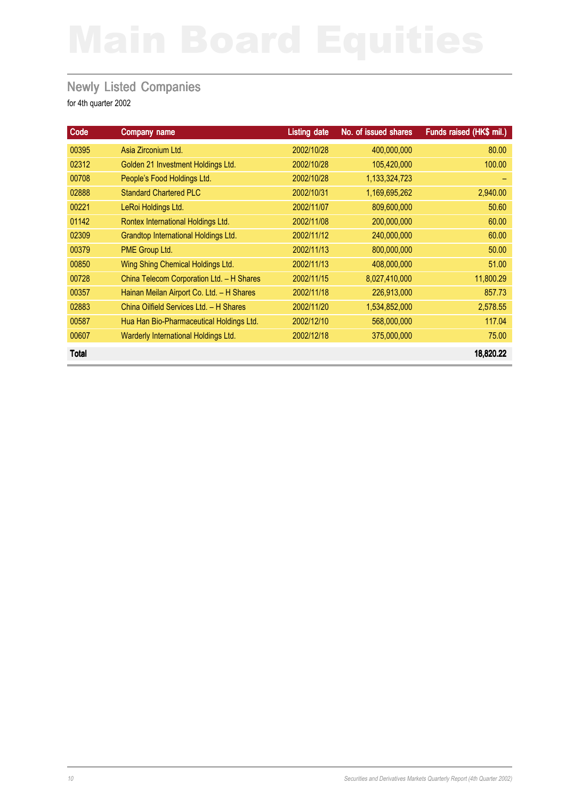### **Newly Listed Companies**

| Code         | Company name                                | <b>Listing date</b> | No. of issued shares | Funds raised (HK\$ mil.) |
|--------------|---------------------------------------------|---------------------|----------------------|--------------------------|
| 00395        | Asia Zirconium Ltd.                         | 2002/10/28          | 400,000,000          | 80.00                    |
| 02312        | Golden 21 Investment Holdings Ltd.          | 2002/10/28          | 105,420,000          | 100.00                   |
| 00708        | People's Food Holdings Ltd.                 | 2002/10/28          | 1,133,324,723        |                          |
| 02888        | <b>Standard Chartered PLC</b>               | 2002/10/31          | 1,169,695,262        | 2,940.00                 |
| 00221        | LeRoi Holdings Ltd.                         | 2002/11/07          | 809,600,000          | 50.60                    |
| 01142        | Rontex International Holdings Ltd.          | 2002/11/08          | 200,000,000          | 60.00                    |
| 02309        | <b>Grandtop International Holdings Ltd.</b> | 2002/11/12          | 240,000,000          | 60.00                    |
| 00379        | PME Group Ltd.                              | 2002/11/13          | 800,000,000          | 50.00                    |
| 00850        | Wing Shing Chemical Holdings Ltd.           | 2002/11/13          | 408,000,000          | 51.00                    |
| 00728        | China Telecom Corporation Ltd. - H Shares   | 2002/11/15          | 8,027,410,000        | 11,800.29                |
| 00357        | Hainan Meilan Airport Co. Ltd. - H Shares   | 2002/11/18          | 226,913,000          | 857.73                   |
| 02883        | China Oilfield Services Ltd. - H Shares     | 2002/11/20          | 1,534,852,000        | 2,578.55                 |
| 00587        | Hua Han Bio-Pharmaceutical Holdings Ltd.    | 2002/12/10          | 568,000,000          | 117.04                   |
| 00607        | Warderly International Holdings Ltd.        | 2002/12/18          | 375,000,000          | 75.00                    |
| <b>Total</b> |                                             |                     |                      | 18,820.22                |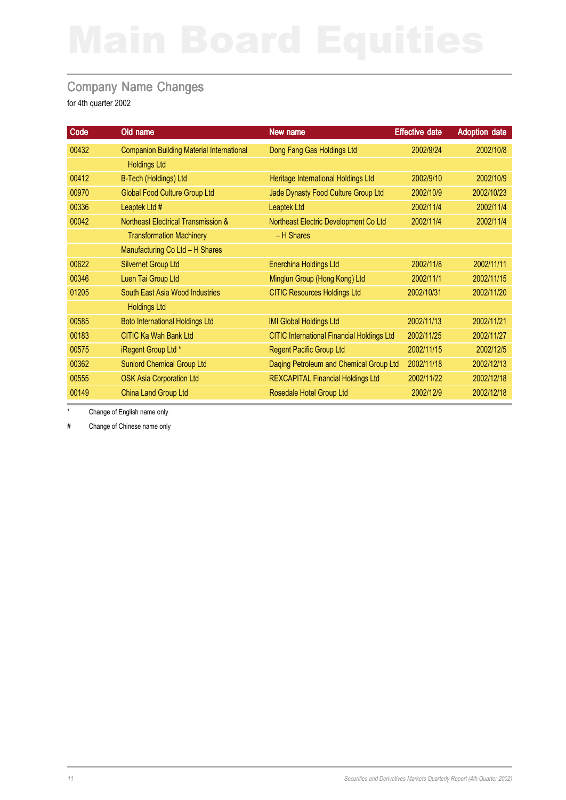### Company Name Changes

for 4th quarter 2002

| Code  | Old name                                         | New name                                          | <b>Effective date</b> | <b>Adoption date</b> |
|-------|--------------------------------------------------|---------------------------------------------------|-----------------------|----------------------|
| 00432 | <b>Companion Building Material International</b> | Dong Fang Gas Holdings Ltd                        | 2002/9/24             | 2002/10/8            |
|       | <b>Holdings Ltd</b>                              |                                                   |                       |                      |
| 00412 | B-Tech (Holdings) Ltd                            | Heritage International Holdings Ltd               | 2002/9/10             | 2002/10/9            |
| 00970 | <b>Global Food Culture Group Ltd</b>             | Jade Dynasty Food Culture Group Ltd               | 2002/10/9             | 2002/10/23           |
| 00336 | Leaptek Ltd #                                    | <b>Leaptek Ltd</b>                                | 2002/11/4             | 2002/11/4            |
| 00042 | <b>Northeast Electrical Transmission &amp;</b>   | Northeast Electric Development Co Ltd             | 2002/11/4             | 2002/11/4            |
|       | <b>Transformation Machinery</b>                  | - H Shares                                        |                       |                      |
|       | Manufacturing Co Ltd - H Shares                  |                                                   |                       |                      |
| 00622 | <b>Silvernet Group Ltd</b>                       | <b>Enerchina Holdings Ltd</b>                     | 2002/11/8             | 2002/11/11           |
| 00346 | Luen Tai Group Ltd                               | Minglun Group (Hong Kong) Ltd                     | 2002/11/1             | 2002/11/15           |
| 01205 | South East Asia Wood Industries                  | <b>CITIC Resources Holdings Ltd</b>               | 2002/10/31            | 2002/11/20           |
|       | <b>Holdings Ltd</b>                              |                                                   |                       |                      |
| 00585 | <b>Boto International Holdings Ltd</b>           | <b>IMI Global Holdings Ltd</b>                    | 2002/11/13            | 2002/11/21           |
| 00183 | <b>CITIC Ka Wah Bank Ltd</b>                     | <b>CITIC International Financial Holdings Ltd</b> | 2002/11/25            | 2002/11/27           |
| 00575 | iRegent Group Ltd *                              | <b>Regent Pacific Group Ltd</b>                   | 2002/11/15            | 2002/12/5            |
| 00362 | <b>Sunlord Chemical Group Ltd</b>                | Daqing Petroleum and Chemical Group Ltd           | 2002/11/18            | 2002/12/13           |
| 00555 | <b>OSK Asia Corporation Ltd</b>                  | <b>REXCAPITAL Financial Holdings Ltd</b>          | 2002/11/22            | 2002/12/18           |
| 00149 | China Land Group Ltd                             | Rosedale Hotel Group Ltd                          | 2002/12/9             | 2002/12/18           |

Change of English name only

# Change of Chinese name only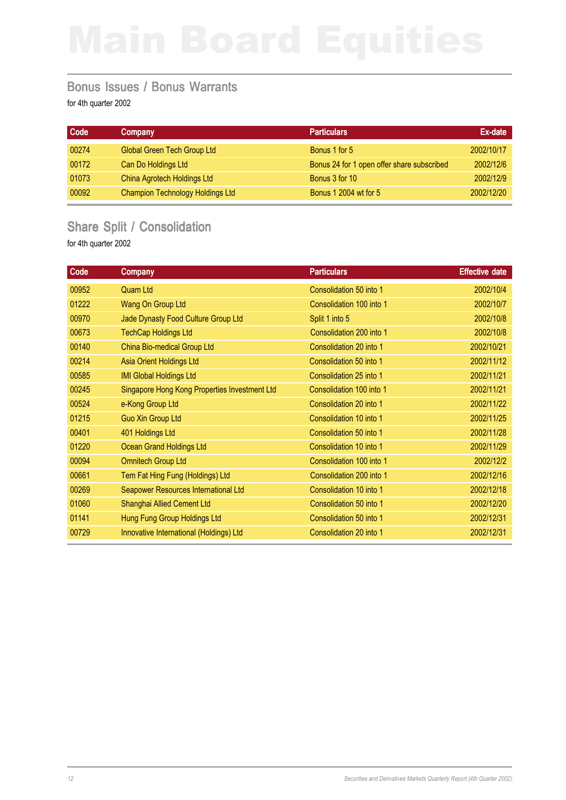### Bonus Issues / Bonus Warrants

for 4th quarter 2002

| Code  | Company                                 | <b>Particulars</b>                         | Ex-date    |
|-------|-----------------------------------------|--------------------------------------------|------------|
| 00274 | <b>Global Green Tech Group Ltd</b>      | Bonus 1 for 5                              | 2002/10/17 |
| 00172 | Can Do Holdings Ltd                     | Bonus 24 for 1 open offer share subscribed | 2002/12/6  |
| 01073 | China Agrotech Holdings Ltd             | Bonus 3 for 10                             | 2002/12/9  |
| 00092 | <b>Champion Technology Holdings Ltd</b> | <b>Bonus 1 2004 wt for 5</b>               | 2002/12/20 |

### Share Split / Consolidation

| Code  | <b>Company</b>                                | <b>Particulars</b>       | <b>Effective date</b> |
|-------|-----------------------------------------------|--------------------------|-----------------------|
| 00952 | Quam Ltd                                      | Consolidation 50 into 1  | 2002/10/4             |
| 01222 | Wang On Group Ltd                             | Consolidation 100 into 1 | 2002/10/7             |
| 00970 | Jade Dynasty Food Culture Group Ltd           | Split 1 into 5           | 2002/10/8             |
| 00673 | <b>TechCap Holdings Ltd</b>                   | Consolidation 200 into 1 | 2002/10/8             |
| 00140 | China Bio-medical Group Ltd                   | Consolidation 20 into 1  | 2002/10/21            |
| 00214 | Asia Orient Holdings Ltd                      | Consolidation 50 into 1  | 2002/11/12            |
| 00585 | <b>IMI Global Holdings Ltd</b>                | Consolidation 25 into 1  | 2002/11/21            |
| 00245 | Singapore Hong Kong Properties Investment Ltd | Consolidation 100 into 1 | 2002/11/21            |
| 00524 | e-Kong Group Ltd                              | Consolidation 20 into 1  | 2002/11/22            |
| 01215 | <b>Guo Xin Group Ltd</b>                      | Consolidation 10 into 1  | 2002/11/25            |
| 00401 | 401 Holdings Ltd                              | Consolidation 50 into 1  | 2002/11/28            |
| 01220 | <b>Ocean Grand Holdings Ltd</b>               | Consolidation 10 into 1  | 2002/11/29            |
| 00094 | <b>Omnitech Group Ltd</b>                     | Consolidation 100 into 1 | 2002/12/2             |
| 00661 | Tem Fat Hing Fung (Holdings) Ltd              | Consolidation 200 into 1 | 2002/12/16            |
| 00269 | Seapower Resources International Ltd          | Consolidation 10 into 1  | 2002/12/18            |
| 01060 | Shanghai Allied Cement Ltd                    | Consolidation 50 into 1  | 2002/12/20            |
| 01141 | Hung Fung Group Holdings Ltd                  | Consolidation 50 into 1  | 2002/12/31            |
| 00729 | Innovative International (Holdings) Ltd       | Consolidation 20 into 1  | 2002/12/31            |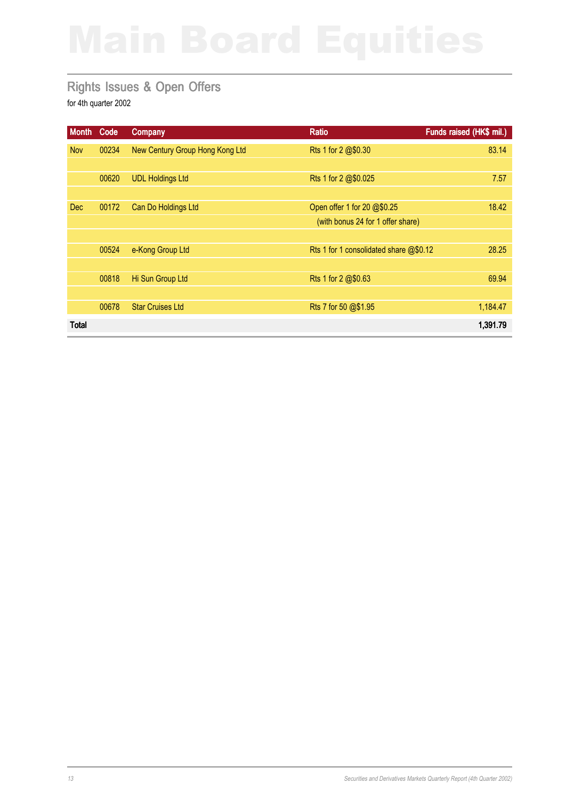### Rights Issues & Open Offers

| <b>Month</b> | Code  | <b>Company</b>                  | <b>Ratio</b>                            | Funds raised (HK\$ mil.) |
|--------------|-------|---------------------------------|-----------------------------------------|--------------------------|
| <b>Nov</b>   | 00234 | New Century Group Hong Kong Ltd | Rts 1 for 2 @\$0.30                     | 83.14                    |
|              |       |                                 |                                         |                          |
|              | 00620 | <b>UDL Holdings Ltd</b>         | Rts 1 for 2 @\$0.025                    | 7.57                     |
|              |       |                                 |                                         |                          |
| <b>Dec</b>   | 00172 | Can Do Holdings Ltd             | Open offer 1 for 20 @\$0.25             | 18.42                    |
|              |       |                                 | (with bonus 24 for 1 offer share)       |                          |
|              |       |                                 |                                         |                          |
|              | 00524 | e-Kong Group Ltd                | Rts 1 for 1 consolidated share $@$0.12$ | 28.25                    |
|              |       |                                 |                                         |                          |
|              | 00818 | Hi Sun Group Ltd                | Rts 1 for 2 @\$0.63                     | 69.94                    |
|              |       |                                 |                                         |                          |
|              | 00678 | <b>Star Cruises Ltd</b>         | Rts 7 for 50 @\$1.95                    | 1,184.47                 |
| <b>Total</b> |       |                                 |                                         | 1,391.79                 |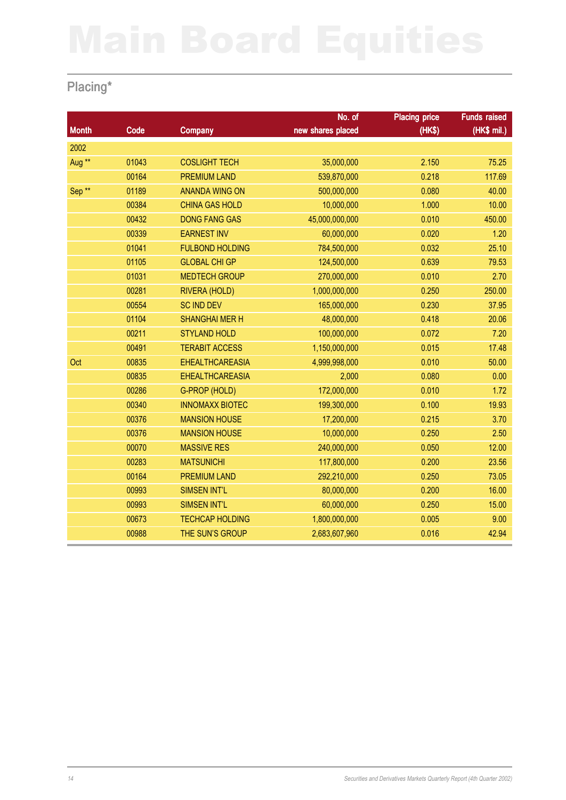## Placing\*

|                   |       |                        | No. of            | <b>Placing price</b> | <b>Funds raised</b> |
|-------------------|-------|------------------------|-------------------|----------------------|---------------------|
| <b>Month</b>      | Code  | <b>Company</b>         | new shares placed | (HK\$)               | (HK\$ mil.)         |
| 2002              |       |                        |                   |                      |                     |
| Aug <sup>**</sup> | 01043 | <b>COSLIGHT TECH</b>   | 35,000,000        | 2.150                | 75.25               |
|                   | 00164 | <b>PREMIUM LAND</b>    | 539,870,000       | 0.218                | 117.69              |
| Sep <sup>**</sup> | 01189 | <b>ANANDA WING ON</b>  | 500,000,000       | 0.080                | 40.00               |
|                   | 00384 | <b>CHINA GAS HOLD</b>  | 10,000,000        | 1.000                | 10.00               |
|                   | 00432 | <b>DONG FANG GAS</b>   | 45,000,000,000    | 0.010                | 450.00              |
|                   | 00339 | <b>EARNEST INV</b>     | 60,000,000        | 0.020                | 1.20                |
|                   | 01041 | <b>FULBOND HOLDING</b> | 784,500,000       | 0.032                | 25.10               |
|                   | 01105 | <b>GLOBAL CHI GP</b>   | 124,500,000       | 0.639                | 79.53               |
|                   | 01031 | <b>MEDTECH GROUP</b>   | 270,000,000       | 0.010                | 2.70                |
|                   | 00281 | RIVERA (HOLD)          | 1,000,000,000     | 0.250                | 250.00              |
|                   | 00554 | <b>SC IND DEV</b>      | 165,000,000       | 0.230                | 37.95               |
|                   | 01104 | <b>SHANGHAI MER H</b>  | 48,000,000        | 0.418                | 20.06               |
|                   | 00211 | <b>STYLAND HOLD</b>    | 100,000,000       | 0.072                | 7.20                |
|                   | 00491 | <b>TERABIT ACCESS</b>  | 1,150,000,000     | 0.015                | 17.48               |
| Oct               | 00835 | <b>EHEALTHCAREASIA</b> | 4,999,998,000     | 0.010                | 50.00               |
|                   | 00835 | <b>EHEALTHCAREASIA</b> | 2,000             | 0.080                | 0.00                |
|                   | 00286 | G-PROP (HOLD)          | 172,000,000       | 0.010                | 1.72                |
|                   | 00340 | <b>INNOMAXX BIOTEC</b> | 199,300,000       | 0.100                | 19.93               |
|                   | 00376 | <b>MANSION HOUSE</b>   | 17,200,000        | 0.215                | 3.70                |
|                   | 00376 | <b>MANSION HOUSE</b>   | 10,000,000        | 0.250                | 2.50                |
|                   | 00070 | <b>MASSIVE RES</b>     | 240,000,000       | 0.050                | 12.00               |
|                   | 00283 | <b>MATSUNICHI</b>      | 117,800,000       | 0.200                | 23.56               |
|                   | 00164 | <b>PREMIUM LAND</b>    | 292,210,000       | 0.250                | 73.05               |
|                   | 00993 | <b>SIMSEN INT'L</b>    | 80,000,000        | 0.200                | 16.00               |
|                   | 00993 | <b>SIMSEN INT'L</b>    | 60,000,000        | 0.250                | 15.00               |
|                   | 00673 | <b>TECHCAP HOLDING</b> | 1,800,000,000     | 0.005                | 9.00                |
|                   | 00988 | THE SUN'S GROUP        | 2,683,607,960     | 0.016                | 42.94               |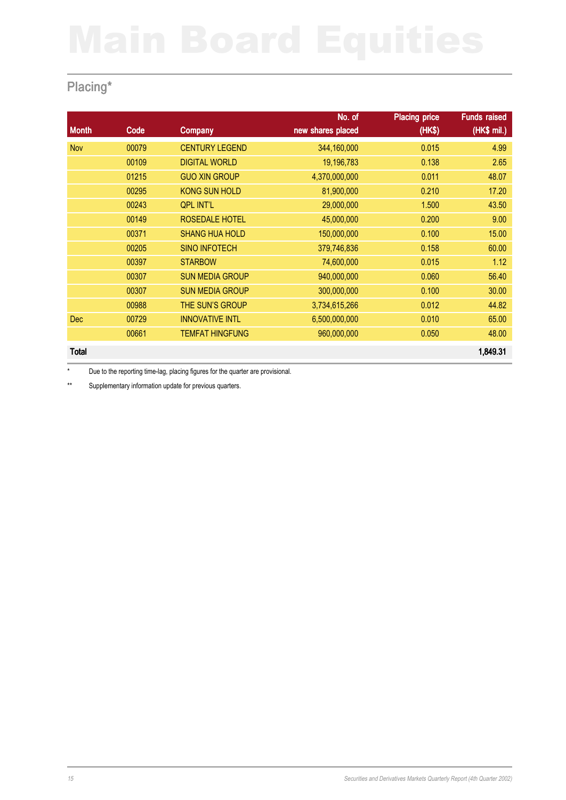## Placing\*

|              |       |                        | No. of            | <b>Placing price</b> | <b>Funds raised</b> |
|--------------|-------|------------------------|-------------------|----------------------|---------------------|
| <b>Month</b> | Code  | <b>Company</b>         | new shares placed | (HK\$)               | (HK\$ mil.)         |
| <b>Nov</b>   | 00079 | <b>CENTURY LEGEND</b>  | 344,160,000       | 0.015                | 4.99                |
|              | 00109 | <b>DIGITAL WORLD</b>   | 19,196,783        | 0.138                | 2.65                |
|              | 01215 | <b>GUO XIN GROUP</b>   | 4,370,000,000     | 0.011                | 48.07               |
|              | 00295 | <b>KONG SUN HOLD</b>   | 81,900,000        | 0.210                | 17.20               |
|              | 00243 | <b>QPL INT'L</b>       | 29,000,000        | 1.500                | 43.50               |
|              | 00149 | ROSEDALE HOTEL         | 45,000,000        | 0.200                | 9.00                |
|              | 00371 | <b>SHANG HUA HOLD</b>  | 150,000,000       | 0.100                | 15.00               |
|              | 00205 | <b>SINO INFOTECH</b>   | 379,746,836       | 0.158                | 60.00               |
|              | 00397 | <b>STARBOW</b>         | 74,600,000        | 0.015                | 1.12                |
|              | 00307 | <b>SUN MEDIA GROUP</b> | 940,000,000       | 0.060                | 56.40               |
|              | 00307 | <b>SUN MEDIA GROUP</b> | 300,000,000       | 0.100                | 30.00               |
|              | 00988 | THE SUN'S GROUP        | 3,734,615,266     | 0.012                | 44.82               |
| <b>Dec</b>   | 00729 | <b>INNOVATIVE INTL</b> | 6,500,000,000     | 0.010                | 65.00               |
|              | 00661 | <b>TEMFAT HINGFUNG</b> | 960,000,000       | 0.050                | 48.00               |
| <b>Total</b> |       |                        |                   |                      | 1,849.31            |

\* Due to the reporting time-lag, placing figures for the quarter are provisional.

\*\* Supplementary information update for previous quarters.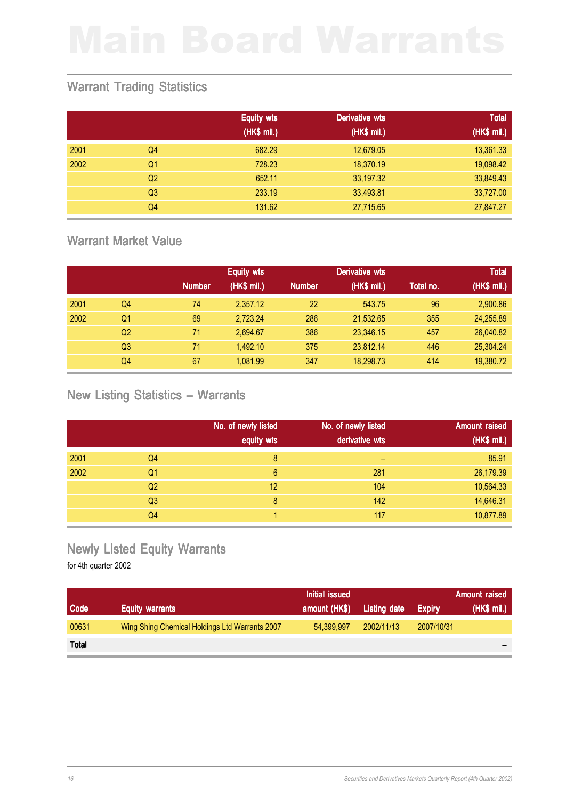### Warrant Trading Statistics

|      |                | <b>Equity wts</b> | Derivative wts | <b>Total</b> |
|------|----------------|-------------------|----------------|--------------|
|      |                | (HK\$ mil.)       | (HK\$ mil.)    | (HK\$ mil.)  |
| 2001 | Q4             | 682.29            | 12,679.05      | 13,361.33    |
| 2002 | Q <sub>1</sub> | 728.23            | 18,370.19      | 19,098.42    |
|      | Q <sub>2</sub> | 652.11            | 33,197.32      | 33,849.43    |
|      | Q <sub>3</sub> | 233.19            | 33,493.81      | 33,727.00    |
|      | Q <sub>4</sub> | 131.62            | 27,715.65      | 27,847.27    |

### Warrant Market Value

|      |                |               | <b>Equity wts</b> |               | <b>Derivative wts</b> |           | <b>Total</b> |
|------|----------------|---------------|-------------------|---------------|-----------------------|-----------|--------------|
|      |                | <b>Number</b> | (HK\$ mil.)       | <b>Number</b> | (HK\$ mil.)           | Total no. | (HK\$ mil.)  |
| 2001 | Q4             | 74            | 2,357.12          | 22            | 543.75                | 96        | 2,900.86     |
| 2002 | Q1             | 69            | 2,723.24          | 286           | 21,532.65             | 355       | 24,255.89    |
|      | Q <sub>2</sub> | 71            | 2.694.67          | 386           | 23,346.15             | 457       | 26,040.82    |
|      | Q3             | 71            | 1.492.10          | 375           | 23.812.14             | 446       | 25,304.24    |
|      | Q4             | 67            | 1.081.99          | 347           | 18,298.73             | 414       | 19,380.72    |

### New Listing Statistics – Warrants

|      |                | No. of newly listed<br>equity wts | No. of newly listed<br>derivative wts | <b>Amount raised</b><br>(HK\$ mil.) |
|------|----------------|-----------------------------------|---------------------------------------|-------------------------------------|
| 2001 | Q4             | 8                                 | -                                     | 85.91                               |
| 2002 | Q <sub>1</sub> | 6                                 | 281                                   | 26,179.39                           |
|      | Q <sub>2</sub> | 12                                | 104                                   | 10,564.33                           |
|      | Q <sub>3</sub> | 8                                 | 142                                   | 14,646.31                           |
|      | Q <sub>4</sub> |                                   | 117                                   | 10,877.89                           |

### Newly Listed Equity Warrants

|              |                                                | Initial issued |              |               | <b>Amount raised</b> |
|--------------|------------------------------------------------|----------------|--------------|---------------|----------------------|
| Code         | <b>Equity warrants</b>                         | amount (HK\$)  | Listing date | <b>Expiry</b> | (HK\$ mil.)          |
| 00631        | Wing Shing Chemical Holdings Ltd Warrants 2007 | 54.399.997     | 2002/11/13   | 2007/10/31    |                      |
| <b>Total</b> |                                                |                |              |               |                      |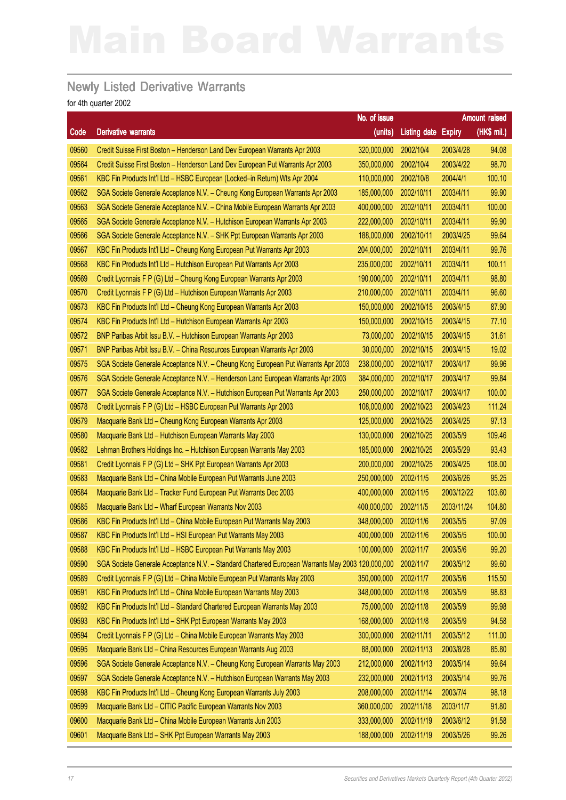### Newly Listed Derivative Warrants

|       |                                                                                                  | No. of issue          |                     |            | Amount raised |
|-------|--------------------------------------------------------------------------------------------------|-----------------------|---------------------|------------|---------------|
| Code  | <b>Derivative warrants</b>                                                                       | (units)               | Listing date Expiry |            | (HK\$ mil.)   |
| 09560 | Credit Suisse First Boston - Henderson Land Dev European Warrants Apr 2003                       | 320,000,000           | 2002/10/4           | 2003/4/28  | 94.08         |
| 09564 | Credit Suisse First Boston - Henderson Land Dev European Put Warrants Apr 2003                   | 350,000,000           | 2002/10/4           | 2003/4/22  | 98.70         |
| 09561 | KBC Fin Products Int'l Ltd - HSBC European (Locked-in Return) Wts Apr 2004                       | 110,000,000           | 2002/10/8           | 2004/4/1   | 100.10        |
| 09562 | SGA Societe Generale Acceptance N.V. - Cheung Kong European Warrants Apr 2003                    | 185,000,000           | 2002/10/11          | 2003/4/11  | 99.90         |
| 09563 | SGA Societe Generale Acceptance N.V. - China Mobile European Warrants Apr 2003                   | 400,000,000           | 2002/10/11          | 2003/4/11  | 100.00        |
| 09565 | SGA Societe Generale Acceptance N.V. - Hutchison European Warrants Apr 2003                      | 222,000,000           | 2002/10/11          | 2003/4/11  | 99.90         |
| 09566 | SGA Societe Generale Acceptance N.V. - SHK Ppt European Warrants Apr 2003                        | 188,000,000           | 2002/10/11          | 2003/4/25  | 99.64         |
| 09567 | KBC Fin Products Int'l Ltd - Cheung Kong European Put Warrants Apr 2003                          | 204,000,000           | 2002/10/11          | 2003/4/11  | 99.76         |
| 09568 | KBC Fin Products Int'l Ltd - Hutchison European Put Warrants Apr 2003                            | 235,000,000           | 2002/10/11          | 2003/4/11  | 100.11        |
| 09569 | Credit Lyonnais F P (G) Ltd - Cheung Kong European Warrants Apr 2003                             | 190,000,000           | 2002/10/11          | 2003/4/11  | 98.80         |
| 09570 | Credit Lyonnais F P (G) Ltd - Hutchison European Warrants Apr 2003                               | 210,000,000           | 2002/10/11          | 2003/4/11  | 96.60         |
| 09573 | KBC Fin Products Int'l Ltd - Cheung Kong European Warrants Apr 2003                              | 150,000,000           | 2002/10/15          | 2003/4/15  | 87.90         |
| 09574 | KBC Fin Products Int'l Ltd - Hutchison European Warrants Apr 2003                                | 150,000,000           | 2002/10/15          | 2003/4/15  | 77.10         |
| 09572 | BNP Paribas Arbit Issu B.V. - Hutchison European Warrants Apr 2003                               | 73,000,000            | 2002/10/15          | 2003/4/15  | 31.61         |
| 09571 | BNP Paribas Arbit Issu B.V. - China Resources European Warrants Apr 2003                         | 30,000,000            | 2002/10/15          | 2003/4/15  | 19.02         |
| 09575 | SGA Societe Generale Acceptance N.V. - Cheung Kong European Put Warrants Apr 2003                | 238,000,000           | 2002/10/17          | 2003/4/17  | 99.96         |
| 09576 | SGA Societe Generale Acceptance N.V. - Henderson Land European Warrants Apr 2003                 | 384,000,000           | 2002/10/17          | 2003/4/17  | 99.84         |
| 09577 | SGA Societe Generale Acceptance N.V. - Hutchison European Put Warrants Apr 2003                  | 250,000,000           | 2002/10/17          | 2003/4/17  | 100.00        |
| 09578 | Credit Lyonnais F P (G) Ltd - HSBC European Put Warrants Apr 2003                                | 108,000,000           | 2002/10/23          | 2003/4/23  | 111.24        |
| 09579 | Macquarie Bank Ltd - Cheung Kong European Warrants Apr 2003                                      | 125,000,000           | 2002/10/25          | 2003/4/25  | 97.13         |
| 09580 | Macquarie Bank Ltd - Hutchison European Warrants May 2003                                        | 130,000,000           | 2002/10/25          | 2003/5/9   | 109.46        |
| 09582 | Lehman Brothers Holdings Inc. - Hutchison European Warrants May 2003                             | 185,000,000           | 2002/10/25          | 2003/5/29  | 93.43         |
| 09581 | Credit Lyonnais F P (G) Ltd - SHK Ppt European Warrants Apr 2003                                 | 200,000,000           | 2002/10/25          | 2003/4/25  | 108.00        |
| 09583 | Macquarie Bank Ltd - China Mobile European Put Warrants June 2003                                | 250,000,000           | 2002/11/5           | 2003/6/26  | 95.25         |
| 09584 | Macquarie Bank Ltd - Tracker Fund European Put Warrants Dec 2003                                 | 400,000,000           | 2002/11/5           | 2003/12/22 | 103.60        |
| 09585 | Macquarie Bank Ltd - Wharf European Warrants Nov 2003                                            | 400,000,000           | 2002/11/5           | 2003/11/24 | 104.80        |
| 09586 | KBC Fin Products Int'l Ltd - China Mobile European Put Warrants May 2003                         | 348,000,000           | 2002/11/6           | 2003/5/5   | 97.09         |
| 09587 | KBC Fin Products Int'l Ltd - HSI European Put Warrants May 2003                                  | 400,000,000 2002/11/6 |                     | 2003/5/5   | 100.00        |
| 09588 | KBC Fin Products Int'l Ltd - HSBC European Put Warrants May 2003                                 | 100,000,000           | 2002/11/7           | 2003/5/6   | 99.20         |
| 09590 | SGA Societe Generale Acceptance N.V. - Standard Chartered European Warrants May 2003 120,000,000 |                       | 2002/11/7           | 2003/5/12  | 99.60         |
| 09589 | Credit Lyonnais F P (G) Ltd - China Mobile European Put Warrants May 2003                        | 350,000,000           | 2002/11/7           | 2003/5/6   | 115.50        |
| 09591 | KBC Fin Products Int'l Ltd - China Mobile European Warrants May 2003                             | 348,000,000           | 2002/11/8           | 2003/5/9   | 98.83         |
| 09592 | KBC Fin Products Int'l Ltd - Standard Chartered European Warrants May 2003                       | 75,000,000            | 2002/11/8           | 2003/5/9   | 99.98         |
| 09593 | KBC Fin Products Int'l Ltd - SHK Ppt European Warrants May 2003                                  | 168,000,000           | 2002/11/8           | 2003/5/9   | 94.58         |
| 09594 | Credit Lyonnais F P (G) Ltd - China Mobile European Warrants May 2003                            | 300,000,000           | 2002/11/11          | 2003/5/12  | 111.00        |
| 09595 | Macquarie Bank Ltd - China Resources European Warrants Aug 2003                                  | 88,000,000            | 2002/11/13          | 2003/8/28  | 85.80         |
| 09596 | SGA Societe Generale Acceptance N.V. - Cheung Kong European Warrants May 2003                    | 212,000,000           | 2002/11/13          | 2003/5/14  | 99.64         |
| 09597 | SGA Societe Generale Acceptance N.V. - Hutchison European Warrants May 2003                      | 232,000,000           | 2002/11/13          | 2003/5/14  | 99.76         |
| 09598 | KBC Fin Products Int'l Ltd - Cheung Kong European Warrants July 2003                             | 208,000,000           | 2002/11/14          | 2003/7/4   | 98.18         |
| 09599 | Macquarie Bank Ltd - CITIC Pacific European Warrants Nov 2003                                    | 360,000,000           | 2002/11/18          | 2003/11/7  | 91.80         |
| 09600 | Macquarie Bank Ltd - China Mobile European Warrants Jun 2003                                     | 333,000,000           | 2002/11/19          | 2003/6/12  | 91.58         |
| 09601 | Macquarie Bank Ltd - SHK Ppt European Warrants May 2003                                          | 188,000,000           | 2002/11/19          | 2003/5/26  | 99.26         |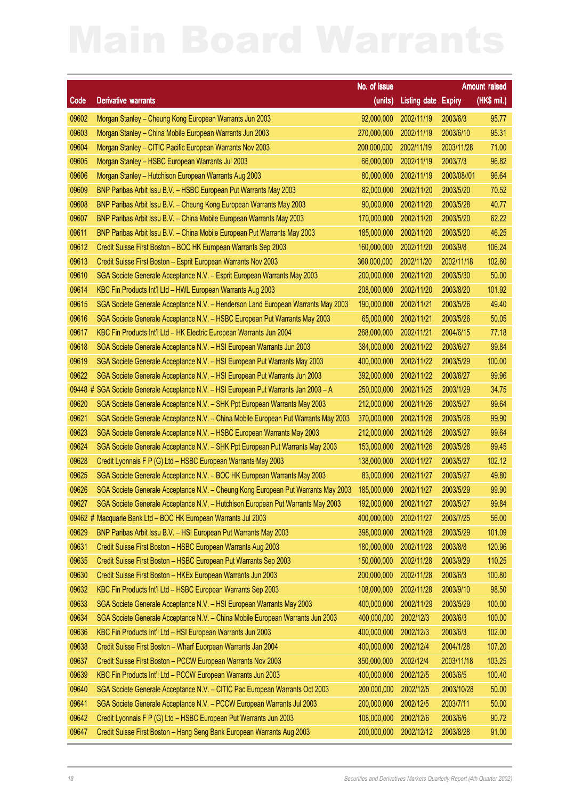|         |                                                                                    | No. of issue           |                     |               | <b>Amount raised</b> |
|---------|------------------------------------------------------------------------------------|------------------------|---------------------|---------------|----------------------|
| Code    | <b>Derivative warrants</b>                                                         | (units)                | <b>Listing date</b> | <b>Expiry</b> | $(HKS$ mil.)         |
| 09602   | Morgan Stanley - Cheung Kong European Warrants Jun 2003                            | 92,000,000             | 2002/11/19          | 2003/6/3      | 95.77                |
| 09603   | Morgan Stanley - China Mobile European Warrants Jun 2003                           | 270,000,000            | 2002/11/19          | 2003/6/10     | 95.31                |
| 09604   | Morgan Stanley - CITIC Pacific European Warrants Nov 2003                          | 200,000,000            | 2002/11/19          | 2003/11/28    | 71.00                |
| 09605   | Morgan Stanley - HSBC European Warrants Jul 2003                                   | 66,000,000             | 2002/11/19          | 2003/7/3      | 96.82                |
| 09606   | Morgan Stanley - Hutchison European Warrants Aug 2003                              | 80,000,000             | 2002/11/19          | 2003/08//01   | 96.64                |
| 09609   | BNP Paribas Arbit Issu B.V. - HSBC European Put Warrants May 2003                  | 82,000,000             | 2002/11/20          | 2003/5/20     | 70.52                |
| 09608   | BNP Paribas Arbit Issu B.V. - Cheung Kong European Warrants May 2003               | 90,000,000             | 2002/11/20          | 2003/5/28     | 40.77                |
| 09607   | BNP Paribas Arbit Issu B.V. - China Mobile European Warrants May 2003              | 170,000,000            | 2002/11/20          | 2003/5/20     | 62.22                |
| 09611   | BNP Paribas Arbit Issu B.V. - China Mobile European Put Warrants May 2003          | 185,000,000            | 2002/11/20          | 2003/5/20     | 46.25                |
| 09612   | Credit Suisse First Boston - BOC HK European Warrants Sep 2003                     | 160,000,000            | 2002/11/20          | 2003/9/8      | 106.24               |
| 09613   | Credit Suisse First Boston - Esprit European Warrants Nov 2003                     | 360,000,000            | 2002/11/20          | 2002/11/18    | 102.60               |
| 09610   | SGA Societe Generale Acceptance N.V. - Esprit European Warrants May 2003           | 200,000,000            | 2002/11/20          | 2003/5/30     | 50.00                |
| 09614   | KBC Fin Products Int'l Ltd - HWL European Warrants Aug 2003                        | 208,000,000            | 2002/11/20          | 2003/8/20     | 101.92               |
| 09615   | SGA Societe Generale Acceptance N.V. - Henderson Land European Warrants May 2003   | 190,000,000            | 2002/11/21          | 2003/5/26     | 49.40                |
| 09616   | SGA Societe Generale Acceptance N.V. - HSBC European Put Warrants May 2003         | 65,000,000             | 2002/11/21          | 2003/5/26     | 50.05                |
| 09617   | KBC Fin Products Int'l Ltd - HK Electric European Warrants Jun 2004                | 268,000,000            | 2002/11/21          | 2004/6/15     | 77.18                |
| 09618   | SGA Societe Generale Acceptance N.V. - HSI European Warrants Jun 2003              | 384,000,000            | 2002/11/22          | 2003/6/27     | 99.84                |
| 09619   | SGA Societe Generale Acceptance N.V. - HSI European Put Warrants May 2003          | 400,000,000            | 2002/11/22          | 2003/5/29     | 100.00               |
| 09622   | SGA Societe Generale Acceptance N.V. - HSI European Put Warrants Jun 2003          | 392,000,000            | 2002/11/22          | 2003/6/27     | 99.96                |
| 09448 # | SGA Societe Generale Acceptance N.V. - HSI European Put Warrants Jan 2003 - A      | 250,000,000            | 2002/11/25          | 2003/1/29     | 34.75                |
| 09620   | SGA Societe Generale Acceptance N.V. - SHK Ppt European Warrants May 2003          | 212,000,000            | 2002/11/26          | 2003/5/27     | 99.64                |
| 09621   | SGA Societe Generale Acceptance N.V. - China Mobile European Put Warrants May 2003 | 370,000,000            | 2002/11/26          | 2003/5/26     | 99.90                |
| 09623   | SGA Societe Generale Acceptance N.V. - HSBC European Warrants May 2003             | 212,000,000            | 2002/11/26          | 2003/5/27     | 99.64                |
| 09624   | SGA Societe Generale Acceptance N.V. - SHK Ppt European Put Warrants May 2003      | 153,000,000            | 2002/11/26          | 2003/5/28     | 99.45                |
| 09628   | Credit Lyonnais F P (G) Ltd - HSBC European Warrants May 2003                      | 138,000,000            | 2002/11/27          | 2003/5/27     | 102.12               |
| 09625   | SGA Societe Generale Acceptance N.V. - BOC HK European Warrants May 2003           | 83,000,000             | 2002/11/27          | 2003/5/27     | 49.80                |
| 09626   | SGA Societe Generale Acceptance N.V. - Cheung Kong European Put Warrants May 2003  | 185,000,000            | 2002/11/27          | 2003/5/29     | 99.90                |
| 09627   | SGA Societe Generale Acceptance N.V. - Hutchison European Put Warrants May 2003    | 192,000,000 2002/11/27 |                     | 2003/5/27     | 99.84                |
| 09462 # | Macquarie Bank Ltd - BOC HK European Warrants Jul 2003                             | 400,000,000            | 2002/11/27          | 2003/7/25     | 56.00                |
| 09629   | BNP Paribas Arbit Issu B.V. - HSI European Put Warrants May 2003                   | 398,000,000            | 2002/11/28          | 2003/5/29     | 101.09               |
| 09631   | Credit Suisse First Boston - HSBC European Warrants Aug 2003                       | 180,000,000            | 2002/11/28          | 2003/8/8      | 120.96               |
| 09635   | Credit Suisse First Boston - HSBC European Put Warrants Sep 2003                   | 150,000,000            | 2002/11/28          | 2003/9/29     | 110.25               |
| 09630   | Credit Suisse First Boston - HKEx European Warrants Jun 2003                       | 200,000,000            | 2002/11/28          | 2003/6/3      | 100.80               |
| 09632   | KBC Fin Products Int'l Ltd - HSBC European Warrants Sep 2003                       | 108,000,000            | 2002/11/28          | 2003/9/10     | 98.50                |
| 09633   | SGA Societe Generale Acceptance N.V. - HSI European Warrants May 2003              | 400,000,000            | 2002/11/29          | 2003/5/29     | 100.00               |
| 09634   | SGA Societe Generale Acceptance N.V. - China Mobile European Warrants Jun 2003     | 400,000,000            | 2002/12/3           | 2003/6/3      | 100.00               |
| 09636   | KBC Fin Products Int'l Ltd - HSI European Warrants Jun 2003                        | 400,000,000            | 2002/12/3           | 2003/6/3      | 102.00               |
| 09638   | Credit Suisse First Boston - Wharf Euorpean Warrants Jan 2004                      | 400,000,000            | 2002/12/4           | 2004/1/28     | 107.20               |
| 09637   | Credit Suisse First Boston - PCCW European Warrants Nov 2003                       | 350,000,000            | 2002/12/4           | 2003/11/18    | 103.25               |
| 09639   | KBC Fin Products Int'l Ltd - PCCW European Warrants Jun 2003                       | 400,000,000            | 2002/12/5           | 2003/6/5      | 100.40               |
| 09640   | SGA Societe Generale Acceptance N.V. - CITIC Pac European Warrants Oct 2003        | 200,000,000            | 2002/12/5           | 2003/10/28    | 50.00                |
| 09641   | SGA Societe Generale Acceptance N.V. - PCCW European Warrants Jul 2003             | 200,000,000            | 2002/12/5           | 2003/7/11     | 50.00                |
| 09642   | Credit Lyonnais F P (G) Ltd - HSBC European Put Warrants Jun 2003                  | 108,000,000            | 2002/12/6           | 2003/6/6      | 90.72                |
| 09647   | Credit Suisse First Boston - Hang Seng Bank European Warrants Aug 2003             | 200,000,000            | 2002/12/12          | 2003/8/28     | 91.00                |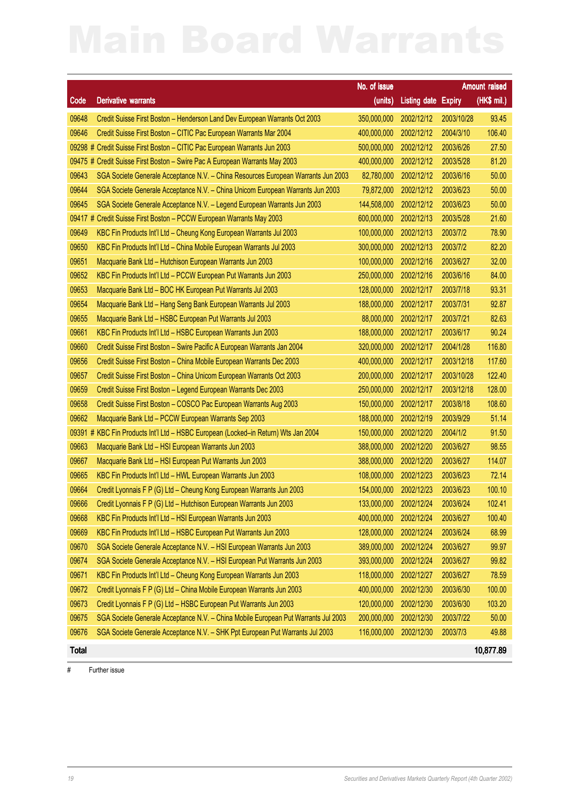|              |                                                                                    | No. of issue |                                  |            | <b>Amount raised</b> |
|--------------|------------------------------------------------------------------------------------|--------------|----------------------------------|------------|----------------------|
| Code         | <b>Derivative warrants</b>                                                         | (units)      | <b>Listing date Expiry</b>       |            | $(HKS$ mil.)         |
| 09648        | Credit Suisse First Boston - Henderson Land Dev European Warrants Oct 2003         | 350,000,000  | 2002/12/12                       | 2003/10/28 | 93.45                |
| 09646        | Credit Suisse First Boston - CITIC Pac European Warrants Mar 2004                  | 400,000,000  | 2002/12/12                       | 2004/3/10  | 106.40               |
|              | 09298 # Credit Suisse First Boston - CITIC Pac European Warrants Jun 2003          | 500,000,000  | 2002/12/12                       | 2003/6/26  | 27.50                |
| 09475 #      | Credit Suisse First Boston - Swire Pac A European Warrants May 2003                | 400,000,000  | 2002/12/12                       | 2003/5/28  | 81.20                |
| 09643        | SGA Societe Generale Acceptance N.V. - China Resources European Warrants Jun 2003  | 82,780,000   | 2002/12/12                       | 2003/6/16  | 50.00                |
| 09644        | SGA Societe Generale Acceptance N.V. - China Unicom European Warrants Jun 2003     | 79,872,000   | 2002/12/12                       | 2003/6/23  | 50.00                |
| 09645        | SGA Societe Generale Acceptance N.V. - Legend European Warrants Jun 2003           | 144,508,000  | 2002/12/12                       | 2003/6/23  | 50.00                |
| 09417#       | Credit Suisse First Boston - PCCW European Warrants May 2003                       | 600,000,000  | 2002/12/13                       | 2003/5/28  | 21.60                |
| 09649        | KBC Fin Products Int'l Ltd - Cheung Kong European Warrants Jul 2003                | 100,000,000  | 2002/12/13                       | 2003/7/2   | 78.90                |
| 09650        | KBC Fin Products Int'l Ltd - China Mobile European Warrants Jul 2003               | 300,000,000  | 2002/12/13                       | 2003/7/2   | 82.20                |
| 09651        | Macquarie Bank Ltd - Hutchison European Warrants Jun 2003                          | 100,000,000  | 2002/12/16                       | 2003/6/27  | 32.00                |
| 09652        | KBC Fin Products Int'l Ltd - PCCW European Put Warrants Jun 2003                   | 250,000,000  | 2002/12/16                       | 2003/6/16  | 84.00                |
| 09653        | Macquarie Bank Ltd - BOC HK European Put Warrants Jul 2003                         | 128,000,000  | 2002/12/17                       | 2003/7/18  | 93.31                |
| 09654        | Macquarie Bank Ltd - Hang Seng Bank European Warrants Jul 2003                     | 188,000,000  | 2002/12/17                       | 2003/7/31  | 92.87                |
| 09655        | Macquarie Bank Ltd - HSBC European Put Warrants Jul 2003                           | 88,000,000   | 2002/12/17                       | 2003/7/21  | 82.63                |
| 09661        | KBC Fin Products Int'l Ltd - HSBC European Warrants Jun 2003                       | 188,000,000  | 2002/12/17                       | 2003/6/17  | 90.24                |
| 09660        | Credit Suisse First Boston - Swire Pacific A European Warrants Jan 2004            | 320,000,000  | 2002/12/17                       | 2004/1/28  | 116.80               |
| 09656        | Credit Suisse First Boston - China Mobile European Warrants Dec 2003               | 400,000,000  | 2002/12/17                       | 2003/12/18 | 117.60               |
| 09657        | Credit Suisse First Boston - China Unicom European Warrants Oct 2003               | 200,000,000  | 2002/12/17                       | 2003/10/28 | 122.40               |
| 09659        | Credit Suisse First Boston - Legend European Warrants Dec 2003                     | 250,000,000  | 2002/12/17                       | 2003/12/18 | 128.00               |
| 09658        | Credit Suisse First Boston - COSCO Pac European Warrants Aug 2003                  | 150,000,000  | 2002/12/17                       | 2003/8/18  | 108.60               |
| 09662        | Macquarie Bank Ltd - PCCW European Warrants Sep 2003                               | 188,000,000  | 2002/12/19                       | 2003/9/29  | 51.14                |
|              | 09391 # KBC Fin Products Int'l Ltd - HSBC European (Locked-in Return) Wts Jan 2004 | 150,000,000  | 2002/12/20                       | 2004/1/2   | 91.50                |
| 09663        | Macquarie Bank Ltd - HSI European Warrants Jun 2003                                | 388,000,000  | 2002/12/20                       | 2003/6/27  | 98.55                |
| 09667        | Macquarie Bank Ltd - HSI European Put Warrants Jun 2003                            | 388,000,000  | 2002/12/20                       | 2003/6/27  | 114.07               |
| 09665        | KBC Fin Products Int'l Ltd - HWL European Warrants Jun 2003                        | 108,000,000  | 2002/12/23                       | 2003/6/23  | 72.14                |
| 09664        | Credit Lyonnais F P (G) Ltd - Cheung Kong European Warrants Jun 2003               | 154,000,000  | 2002/12/23                       | 2003/6/23  | 100.10               |
| 09666        | Credit Lyonnais F P (G) Ltd - Hutchison European Warrants Jun 2003                 |              | 133,000,000 2002/12/24 2003/6/24 |            | 102.41               |
| 09668        | KBC Fin Products Int'l Ltd - HSI European Warrants Jun 2003                        | 400,000,000  | 2002/12/24                       | 2003/6/27  | 100.40               |
| 09669        | KBC Fin Products Int'l Ltd - HSBC European Put Warrants Jun 2003                   | 128,000,000  | 2002/12/24                       | 2003/6/24  | 68.99                |
| 09670        | SGA Societe Generale Acceptance N.V. - HSI European Warrants Jun 2003              | 389,000,000  | 2002/12/24                       | 2003/6/27  | 99.97                |
| 09674        | SGA Societe Generale Acceptance N.V. - HSI European Put Warrants Jun 2003          | 393,000,000  | 2002/12/24                       | 2003/6/27  | 99.82                |
| 09671        | KBC Fin Products Int'l Ltd - Cheung Kong European Warrants Jun 2003                | 118,000,000  | 2002/12/27                       | 2003/6/27  | 78.59                |
| 09672        | Credit Lyonnais F P (G) Ltd - China Mobile European Warrants Jun 2003              | 400,000,000  | 2002/12/30                       | 2003/6/30  | 100.00               |
| 09673        | Credit Lyonnais F P (G) Ltd - HSBC European Put Warrants Jun 2003                  | 120,000,000  | 2002/12/30                       | 2003/6/30  | 103.20               |
| 09675        | SGA Societe Generale Acceptance N.V. - China Mobile European Put Warrants Jul 2003 | 200,000,000  | 2002/12/30                       | 2003/7/22  | 50.00                |
| 09676        | SGA Societe Generale Acceptance N.V. - SHK Ppt European Put Warrants Jul 2003      | 116,000,000  | 2002/12/30                       | 2003/7/3   | 49.88                |
| <b>Total</b> |                                                                                    |              |                                  |            | 10,877.89            |

# Further issue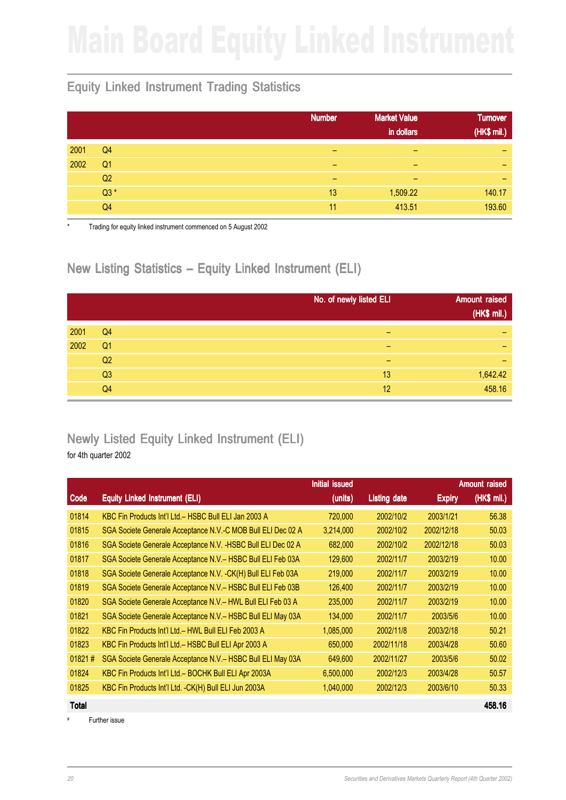### Equity Linked Instrument Trading Statistics

|      |                | <b>Number</b> | <b>Market Value</b><br>in dollars | <b>Turnover</b><br>(HK\$ mil.) |
|------|----------------|---------------|-----------------------------------|--------------------------------|
| 2001 | Q <sub>4</sub> | -             | -                                 | -                              |
| 2002 | Q <sub>1</sub> | -             | -                                 | $\overline{\phantom{0}}$       |
|      | Q2             | -             | -                                 | $\overline{\phantom{0}}$       |
|      | $Q3*$          | 13            | 1,509.22                          | 140.17                         |
|      | Q4             | 11            | 413.51                            | 193.60                         |

Trading for equity linked instrument commenced on 5 August 2002

### New Listing Statistics – Equity Linked Instrument (ELI)

|      |                | No. of newly listed ELI | <b>Amount raised</b><br>(HK\$ mil.) |
|------|----------------|-------------------------|-------------------------------------|
| 2001 | Q <sub>4</sub> |                         | -                                   |
| 2002 | Q <sub>1</sub> | -                       | -                                   |
|      | Q <sub>2</sub> | -                       | -                                   |
|      | Q3             | 13                      | 1,642.42                            |
|      | Q <sub>4</sub> | 12                      | 458.16                              |

# Newly Listed Equity Linked Instrument (ELI)

for 4th quarter 2002

|        |                                                               | Initial issued |                     |               | <b>Amount raised</b> |
|--------|---------------------------------------------------------------|----------------|---------------------|---------------|----------------------|
| Code   | <b>Equity Linked Instrument (ELI)</b>                         | (units)        | <b>Listing date</b> | <b>Expiry</b> | (HK\$ mil.)          |
| 01814  | KBC Fin Products Int'l Ltd. - HSBC Bull ELI Jan 2003 A        | 720,000        | 2002/10/2           | 2003/1/21     | 56.38                |
| 01815  | SGA Societe Generale Acceptance N.V.-C MOB Bull ELI Dec 02 A  | 3,214,000      | 2002/10/2           | 2002/12/18    | 50.03                |
| 01816  | SGA Societe Generale Acceptance N.V. - HSBC Bull ELI Dec 02 A | 682,000        | 2002/10/2           | 2002/12/18    | 50.03                |
| 01817  | SGA Societe Generale Acceptance N.V. - HSBC Bull ELI Feb 03A  | 129,600        | 2002/11/7           | 2003/2/19     | 10.00                |
| 01818  | SGA Societe Generale Acceptance N.V. - CK(H) Bull ELI Feb 03A | 219,000        | 2002/11/7           | 2003/2/19     | 10.00                |
| 01819  | SGA Societe Generale Acceptance N.V. - HSBC Bull ELI Feb 03B  | 126,400        | 2002/11/7           | 2003/2/19     | 10.00                |
| 01820  | SGA Societe Generale Acceptance N.V.- HWL Bull ELI Feb 03 A   | 235,000        | 2002/11/7           | 2003/2/19     | 10.00                |
| 01821  | SGA Societe Generale Acceptance N.V. - HSBC Bull ELI May 03A  | 134,000        | 2002/11/7           | 2003/5/6      | 10.00                |
| 01822  | KBC Fin Products Int'l Ltd. - HWL Bull ELI Feb 2003 A         | 1,085,000      | 2002/11/8           | 2003/2/18     | 50.21                |
| 01823  | KBC Fin Products Int'l Ltd.- HSBC Bull ELI Apr 2003 A         | 650,000        | 2002/11/18          | 2003/4/28     | 50.60                |
| 01821# | SGA Societe Generale Acceptance N.V.- HSBC Bull ELI May 03A   | 649,600        | 2002/11/27          | 2003/5/6      | 50.02                |
| 01824  | KBC Fin Products Int'l Ltd.- BOCHK Bull ELI Apr 2003A         | 6,500,000      | 2002/12/3           | 2003/4/28     | 50.57                |
| 01825  | KBC Fin Products Int'l Ltd. - CK(H) Bull ELI Jun 2003A        | 1,040,000      | 2002/12/3           | 2003/6/10     | 50.33                |

Further issue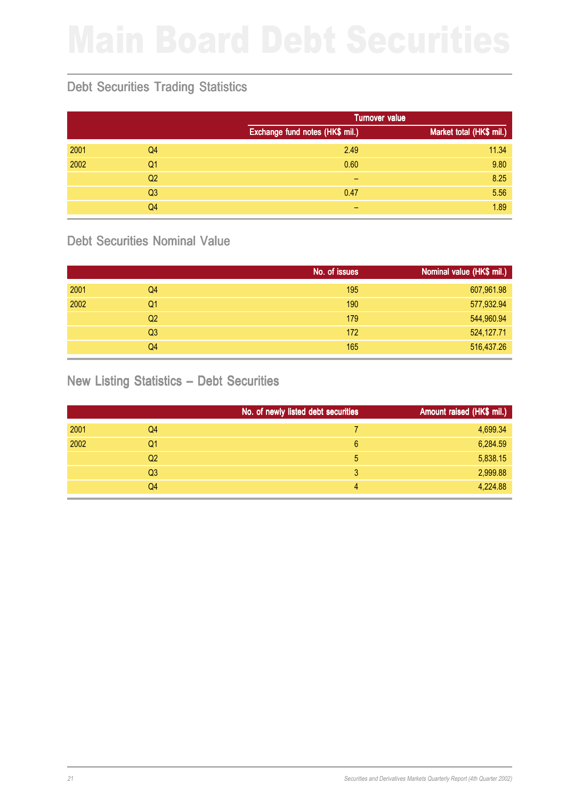## Debt Securities Trading Statistics

|      |                |                                 | <b>Turnover value</b>    |  |  |
|------|----------------|---------------------------------|--------------------------|--|--|
|      |                | Exchange fund notes (HK\$ mil.) | Market total (HK\$ mil.) |  |  |
| 2001 | Q <sub>4</sub> | 2.49                            | 11.34                    |  |  |
| 2002 | Q <sub>1</sub> | 0.60                            | 9.80                     |  |  |
|      | Q <sub>2</sub> | -                               | 8.25                     |  |  |
|      | Q <sub>3</sub> | 0.47                            | 5.56                     |  |  |
|      | Q4             | -                               | 1.89                     |  |  |

### Debt Securities Nominal Value

|      |                | No. of issues | Nominal value (HK\$ mil.) |
|------|----------------|---------------|---------------------------|
| 2001 | Q <sub>4</sub> | 195           | 607,961.98                |
| 2002 | Q1             | 190           | 577,932.94                |
|      | Q <sub>2</sub> | 179           | 544,960.94                |
|      | Q <sub>3</sub> | 172           | 524,127.71                |
|      | Q <sub>4</sub> | 165           | 516,437.26                |

### New Listing Statistics – Debt Securities

|      |                | No. of newly listed debt securities | Amount raised (HK\$ mil.) |
|------|----------------|-------------------------------------|---------------------------|
| 2001 | Q4             |                                     | 4,699.34                  |
| 2002 | Q1             | 6                                   | 6,284.59                  |
|      | Q <sub>2</sub> | 5                                   | 5,838.15                  |
|      | Q <sub>3</sub> | 3                                   | 2,999.88                  |
|      | Q4             | 4                                   | 4,224.88                  |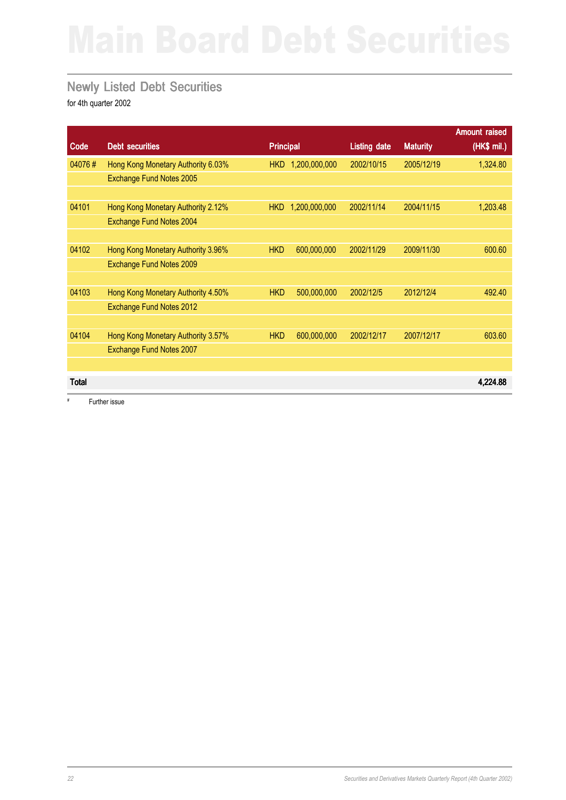### Newly Listed Debt Securities

for 4th quarter 2002

|              |                                    |                  |               |                     |                 | <b>Amount raised</b> |
|--------------|------------------------------------|------------------|---------------|---------------------|-----------------|----------------------|
| Code         | <b>Debt securities</b>             | <b>Principal</b> |               | <b>Listing date</b> | <b>Maturity</b> | (HK\$ mil.)          |
| 04076#       | Hong Kong Monetary Authority 6.03% | <b>HKD</b>       | 1,200,000,000 | 2002/10/15          | 2005/12/19      | 1,324.80             |
|              | Exchange Fund Notes 2005           |                  |               |                     |                 |                      |
|              |                                    |                  |               |                     |                 |                      |
| 04101        | Hong Kong Monetary Authority 2.12% | <b>HKD</b>       | 1,200,000,000 | 2002/11/14          | 2004/11/15      | 1,203.48             |
|              | Exchange Fund Notes 2004           |                  |               |                     |                 |                      |
|              |                                    |                  |               |                     |                 |                      |
| 04102        | Hong Kong Monetary Authority 3.96% | <b>HKD</b>       | 600,000,000   | 2002/11/29          | 2009/11/30      | 600.60               |
|              | Exchange Fund Notes 2009           |                  |               |                     |                 |                      |
|              |                                    |                  |               |                     |                 |                      |
| 04103        | Hong Kong Monetary Authority 4.50% | <b>HKD</b>       | 500,000,000   | 2002/12/5           | 2012/12/4       | 492.40               |
|              | Exchange Fund Notes 2012           |                  |               |                     |                 |                      |
|              |                                    |                  |               |                     |                 |                      |
| 04104        | Hong Kong Monetary Authority 3.57% | <b>HKD</b>       | 600,000,000   | 2002/12/17          | 2007/12/17      | 603.60               |
|              | Exchange Fund Notes 2007           |                  |               |                     |                 |                      |
|              |                                    |                  |               |                     |                 |                      |
| <b>Total</b> |                                    |                  |               |                     |                 | 4,224.88             |
|              |                                    |                  |               |                     |                 |                      |

# Further issue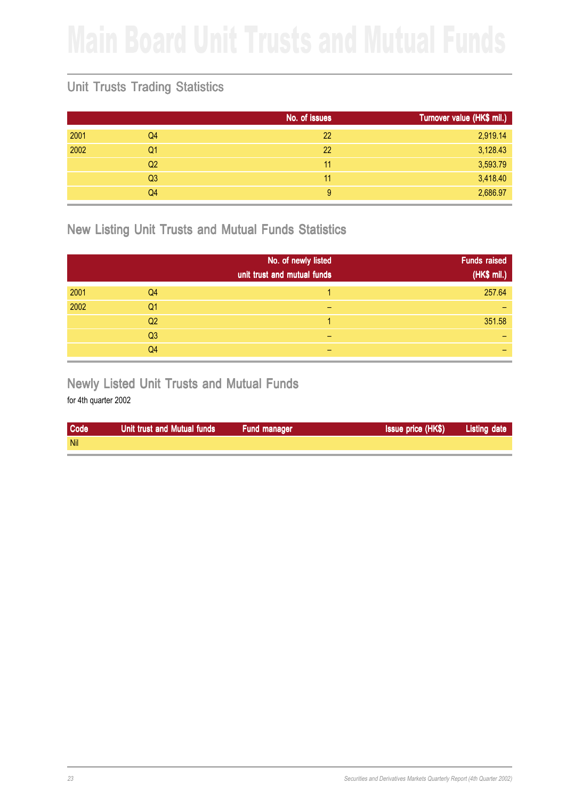### Unit Trusts Trading Statistics

|      |                | No. of issues | Turnover value (HK\$ mil.) |
|------|----------------|---------------|----------------------------|
| 2001 | Q4             | 22            | 2,919.14                   |
| 2002 | Q1             | 22            | 3,128.43                   |
|      | Q <sub>2</sub> | 11            | 3,593.79                   |
|      | Q <sub>3</sub> | 11            | 3,418.40                   |
|      | Q4             | 9             | 2,686.97                   |

New Listing Unit Trusts and Mutual Funds Statistics

|      |                | No. of newly listed<br>unit trust and mutual funds | <b>Funds raised</b><br>(HK\$ mil.) |
|------|----------------|----------------------------------------------------|------------------------------------|
| 2001 | Q <sub>4</sub> |                                                    | 257.64                             |
| 2002 | Q <sub>1</sub> | -                                                  |                                    |
|      | Q <sub>2</sub> |                                                    | 351.58                             |
|      | Q <sub>3</sub> | -                                                  |                                    |
|      | Q4             |                                                    |                                    |

Newly Listed Unit Trusts and Mutual Funds

| <b>Code</b> | Unit trust and Mutual funds | Fund manager | <b>Issue price (HK\$)</b> | <b>Listing date</b> |
|-------------|-----------------------------|--------------|---------------------------|---------------------|
| <b>Nil</b>  |                             |              |                           |                     |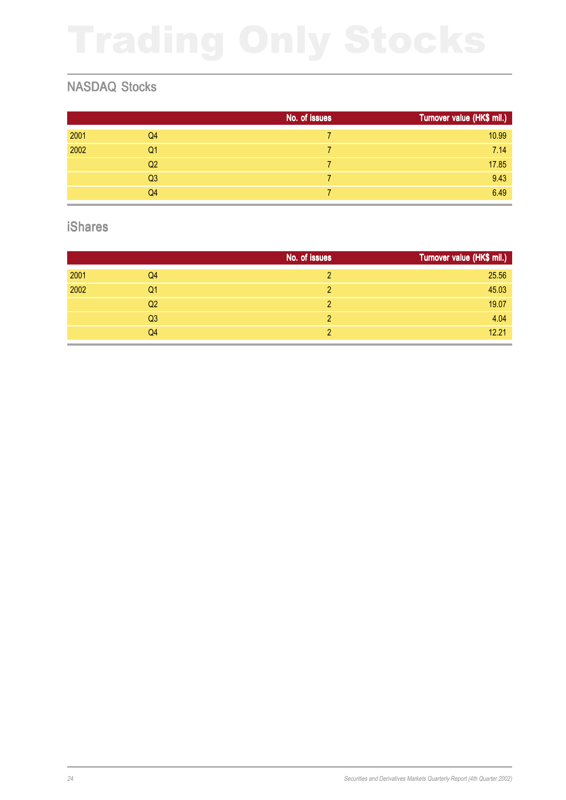### NASDAQ Stocks

|      |                | No. of issues | Turnover value (HK\$ mil.) |
|------|----------------|---------------|----------------------------|
| 2001 | Q <sub>4</sub> |               | 10.99                      |
| 2002 | Q <sub>1</sub> |               | 7.14                       |
|      | Q <sub>2</sub> |               | 17.85                      |
|      | Q <sub>3</sub> |               | 9.43                       |
|      | Q <sub>4</sub> |               | 6.49                       |

### iShares

|      |                | No. of issues | Turnover value (HK\$ mil.) |
|------|----------------|---------------|----------------------------|
| 2001 | Q <sub>4</sub> | $\mathcal{D}$ | 25.56                      |
| 2002 | Q1             | 2             | 45.03                      |
|      | Q <sub>2</sub> | 2             | 19.07                      |
|      | Q <sub>3</sub> | 2             | 4.04                       |
|      | Q4             |               | 12.21                      |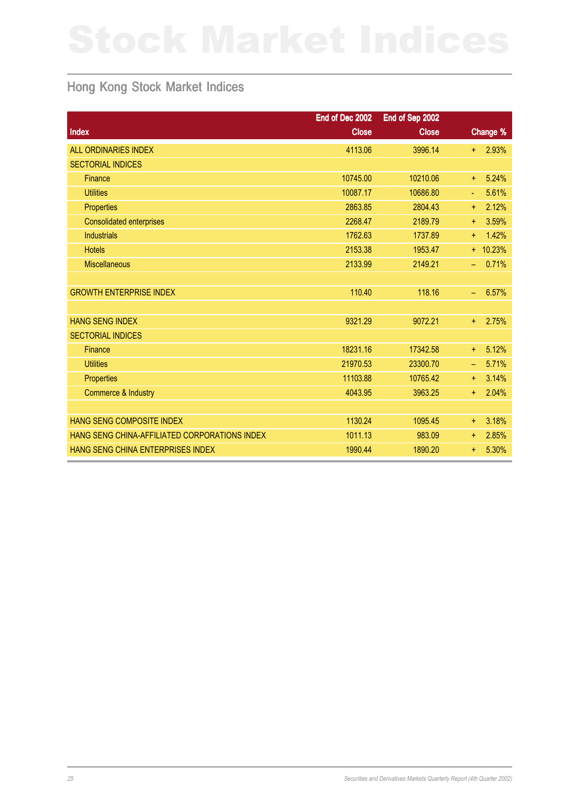### Hong Kong Stock Market Indices

|                                               | End of Dec 2002 | End of Sep 2002 |            |            |
|-----------------------------------------------|-----------------|-----------------|------------|------------|
| Index                                         | <b>Close</b>    | <b>Close</b>    |            | Change %   |
| <b>ALL ORDINARIES INDEX</b>                   | 4113.06         | 3996.14         | $\ddagger$ | 2.93%      |
| <b>SECTORIAL INDICES</b>                      |                 |                 |            |            |
| <b>Finance</b>                                | 10745.00        | 10210.06        | ÷.         | 5.24%      |
| <b>Utilities</b>                              | 10087.17        | 10686.80        | ä,         | 5.61%      |
| Properties                                    | 2863.85         | 2804.43         | $+$        | 2.12%      |
| <b>Consolidated enterprises</b>               | 2268.47         | 2189.79         | ÷.         | 3.59%      |
| <b>Industrials</b>                            | 1762.63         | 1737.89         | $+$        | 1.42%      |
| <b>Hotels</b>                                 | 2153.38         | 1953.47         |            | $+ 10.23%$ |
| <b>Miscellaneous</b>                          | 2133.99         | 2149.21         | ÷,         | 0.71%      |
|                                               |                 |                 |            |            |
| <b>GROWTH ENTERPRISE INDEX</b>                | 110.40          | 118.16          | ÷,         | 6.57%      |
|                                               |                 |                 |            |            |
| <b>HANG SENG INDEX</b>                        | 9321.29         | 9072.21         | $+$        | 2.75%      |
| <b>SECTORIAL INDICES</b>                      |                 |                 |            |            |
| Finance                                       | 18231.16        | 17342.58        | $+$        | 5.12%      |
| <b>Utilities</b>                              | 21970.53        | 23300.70        | $\equiv$   | 5.71%      |
| Properties                                    | 11103.88        | 10765.42        | $+$        | 3.14%      |
| <b>Commerce &amp; Industry</b>                | 4043.95         | 3963.25         | ÷.         | 2.04%      |
|                                               |                 |                 |            |            |
| <b>HANG SENG COMPOSITE INDEX</b>              | 1130.24         | 1095.45         | $\ddot{}$  | 3.18%      |
| HANG SENG CHINA-AFFILIATED CORPORATIONS INDEX | 1011.13         | 983.09          | $\ddot{}$  | 2.85%      |
| HANG SENG CHINA ENTERPRISES INDEX             | 1990.44         | 1890.20         | $\ddot{}$  | 5.30%      |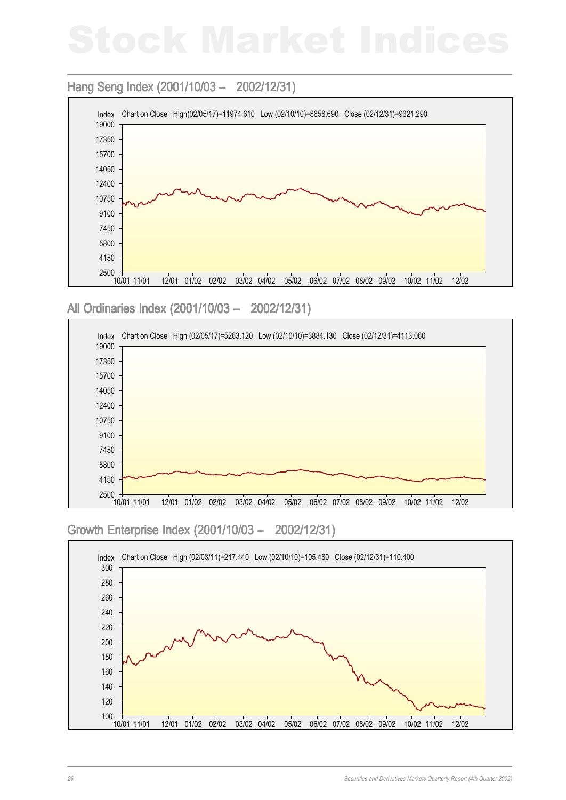### Hang Seng Index (2001/10/03 - 2002/12/31)



All Ordinaries Index (2001/10/03 - 2002/12/31)



### Growth Enterprise Index (2001/10/03 – 2002/12/31) – 2002/12/31)

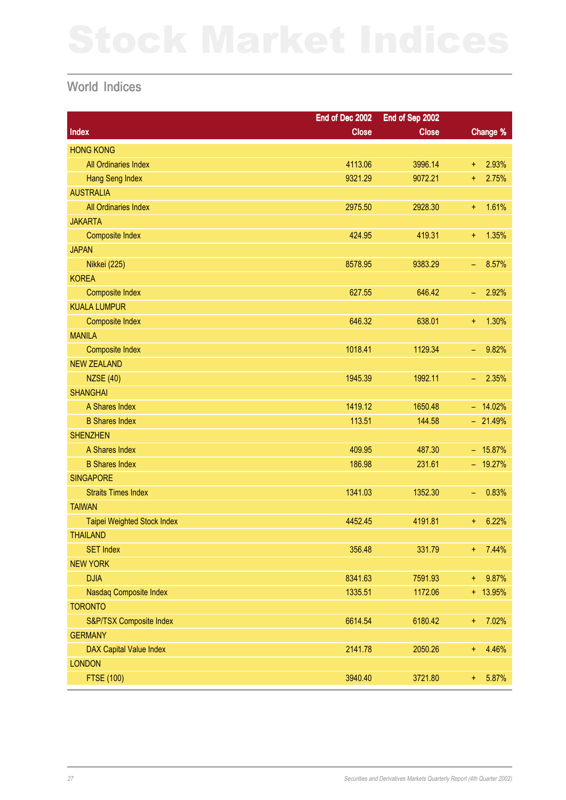### World Indices

|                                | End of Dec 2002 | End of Sep 2002 |                                   |
|--------------------------------|-----------------|-----------------|-----------------------------------|
| Index                          | <b>Close</b>    | <b>Close</b>    | Change %                          |
| <b>HONG KONG</b>               |                 |                 |                                   |
| All Ordinaries Index           | 4113.06         | 3996.14         | 2.93%<br>Ŧ.                       |
| Hang Seng Index                | 9321.29         | 9072.21         | 2.75%<br>$\ddagger$               |
| <b>AUSTRALIA</b>               |                 |                 |                                   |
| All Ordinaries Index           | 2975.50         | 2928.30         | 1.61%<br>Ŧ.                       |
| <b>JAKARTA</b>                 |                 |                 |                                   |
| <b>Composite Index</b>         | 424.95          | 419.31          | 1.35%<br>Ŧ.                       |
| <b>JAPAN</b>                   |                 |                 |                                   |
| <b>Nikkei (225)</b>            | 8578.95         | 9383.29         | 8.57%<br>$\overline{\phantom{m}}$ |
| <b>KOREA</b>                   |                 |                 |                                   |
| <b>Composite Index</b>         | 627.55          | 646.42          | 2.92%<br>$\qquad \qquad -$        |
| <b>KUALA LUMPUR</b>            |                 |                 |                                   |
| <b>Composite Index</b>         | 646.32          | 638.01          | 1.30%<br>Ŧ.                       |
| <b>MANILA</b>                  |                 |                 |                                   |
| <b>Composite Index</b>         | 1018.41         | 1129.34         | 9.82%<br>$\overline{\phantom{m}}$ |
| <b>NEW ZEALAND</b>             |                 |                 |                                   |
| <b>NZSE (40)</b>               | 1945.39         | 1992.11         | 2.35%<br>$\qquad \qquad -$        |
| <b>SHANGHAI</b>                |                 |                 |                                   |
| A Shares Index                 | 1419.12         | 1650.48         | $- 14.02%$                        |
| <b>B Shares Index</b>          | 113.51          | 144.58          | $-21.49%$                         |
| <b>SHENZHEN</b>                |                 |                 |                                   |
| A Shares Index                 | 409.95          | 487.30          | $-15.87%$                         |
| <b>B Shares Index</b>          | 186.98          | 231.61          | $-19.27%$                         |
| <b>SINGAPORE</b>               |                 |                 |                                   |
| <b>Straits Times Index</b>     | 1341.03         | 1352.30         | 0.83%<br>$\qquad \qquad -$        |
| <b>TAIWAN</b>                  |                 |                 |                                   |
| Taipei Weighted Stock Index    | 4452.45         | 4191.81         | 6.22%<br>$\ddagger$               |
| <b>THAILAND</b>                |                 |                 |                                   |
| <b>SET Index</b>               | 356.48          | 331.79          | 7.44%<br>$+$                      |
| <b>NEW YORK</b>                |                 |                 |                                   |
| <b>DJIA</b>                    | 8341.63         | 7591.93         | 9.87%<br>$+$                      |
| Nasdaq Composite Index         | 1335.51         | 1172.06         | + 13.95%                          |
| <b>TORONTO</b>                 |                 |                 |                                   |
| S&P/TSX Composite Index        | 6614.54         | 6180.42         | 7.02%<br>Ŧ,                       |
| <b>GERMANY</b>                 |                 |                 |                                   |
| <b>DAX Capital Value Index</b> | 2141.78         | 2050.26         | 4.46%<br>Ŧ,                       |
| <b>LONDON</b>                  |                 |                 |                                   |
| <b>FTSE (100)</b>              | 3940.40         | 3721.80         | 5.87%<br>Ŧ,                       |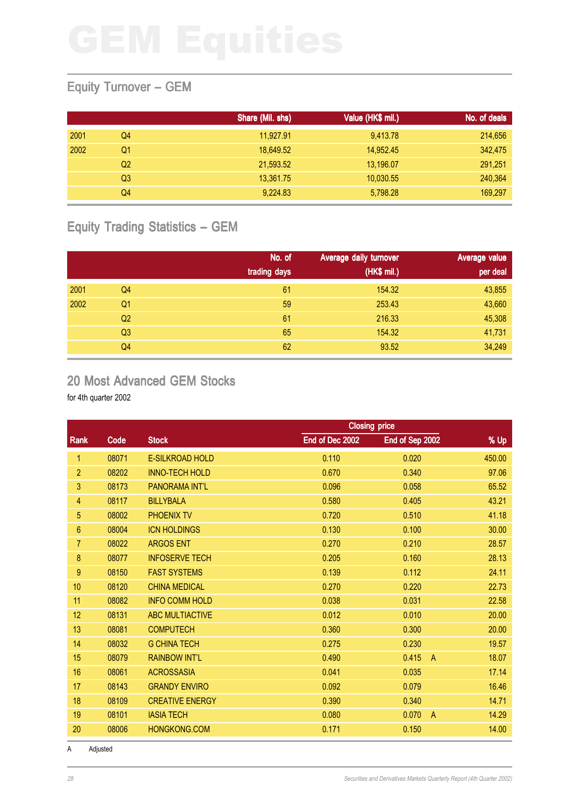### Equity Turnover – GEM

|      |                | Share (Mil. shs) | Value (HK\$ mil.) | No. of deals |
|------|----------------|------------------|-------------------|--------------|
| 2001 | Q4             | 11,927.91        | 9,413.78          | 214,656      |
| 2002 | Q1             | 18,649.52        | 14,952.45         | 342,475      |
|      | Q <sub>2</sub> | 21,593.52        | 13,196.07         | 291,251      |
|      | Q3             | 13,361.75        | 10,030.55         | 240,364      |
|      | Q4             | 9,224.83         | 5,798.28          | 169,297      |

### Equity Trading Statistics – GEM

|      |                | No. of<br>trading days | Average daily turnover<br>(HK\$ mil.) | Average value<br>per deal |
|------|----------------|------------------------|---------------------------------------|---------------------------|
| 2001 | Q4             | 61                     | 154.32                                | 43,855                    |
| 2002 | Q <sub>1</sub> | 59                     | 253.43                                | 43,660                    |
|      | Q2             | 61                     | 216.33                                | 45,308                    |
|      | Q <sub>3</sub> | 65                     | 154.32                                | 41,731                    |
|      | Q4             | 62                     | 93.52                                 | 34,249                    |

### 20 Most Advanced GEM Stocks

for 4th quarter 2002

|                  |       | <b>Closing price</b>   |                 |                         |        |
|------------------|-------|------------------------|-----------------|-------------------------|--------|
| Rank             | Code  | <b>Stock</b>           | End of Dec 2002 | End of Sep 2002         | % Up   |
| 1                | 08071 | E-SILKROAD HOLD        | 0.110           | 0.020                   | 450.00 |
| $\overline{2}$   | 08202 | <b>INNO-TECH HOLD</b>  | 0.670           | 0.340                   | 97.06  |
| 3                | 08173 | <b>PANORAMA INT'L</b>  | 0.096           | 0.058                   | 65.52  |
| 4                | 08117 | <b>BILLYBALA</b>       | 0.580           | 0.405                   | 43.21  |
| $\overline{5}$   | 08002 | <b>PHOENIX TV</b>      | 0.720           | 0.510                   | 41.18  |
| $6\phantom{1}$   | 08004 | <b>ICN HOLDINGS</b>    | 0.130           | 0.100                   | 30.00  |
| 7                | 08022 | <b>ARGOS ENT</b>       | 0.270           | 0.210                   | 28.57  |
| $\bf 8$          | 08077 | <b>INFOSERVE TECH</b>  | 0.205           | 0.160                   | 28.13  |
| $\boldsymbol{9}$ | 08150 | <b>FAST SYSTEMS</b>    | 0.139           | 0.112                   | 24.11  |
| 10               | 08120 | <b>CHINA MEDICAL</b>   | 0.270           | 0.220                   | 22.73  |
| 11               | 08082 | <b>INFO COMM HOLD</b>  | 0.038           | 0.031                   | 22.58  |
| 12               | 08131 | <b>ABC MULTIACTIVE</b> | 0.012           | 0.010                   | 20.00  |
| 13               | 08081 | <b>COMPUTECH</b>       | 0.360           | 0.300                   | 20.00  |
| 14               | 08032 | <b>G CHINA TECH</b>    | 0.275           | 0.230                   | 19.57  |
| 15               | 08079 | <b>RAINBOW INT'L</b>   | 0.490           | 0.415<br>$\overline{A}$ | 18.07  |
| 16               | 08061 | <b>ACROSSASIA</b>      | 0.041           | 0.035                   | 17.14  |
| 17               | 08143 | <b>GRANDY ENVIRO</b>   | 0.092           | 0.079                   | 16.46  |
| 18               | 08109 | <b>CREATIVE ENERGY</b> | 0.390           | 0.340                   | 14.71  |
| 19               | 08101 | <b>IASIA TECH</b>      | 0.080           | 0.070<br>$\overline{A}$ | 14.29  |
| 20               | 08006 | <b>HONGKONG.COM</b>    | 0.171           | 0.150                   | 14.00  |

A Adjusted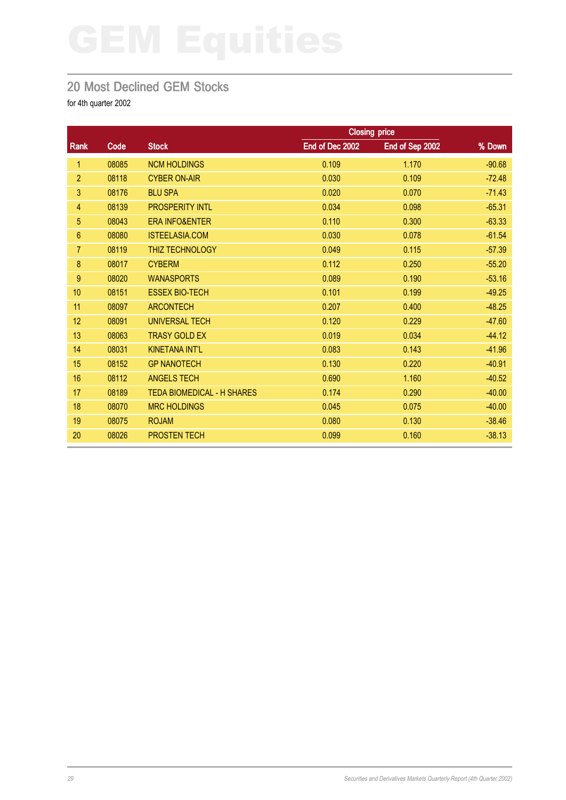### 20 Most Declined GEM Stocks

|                |       |                                   |                 | <b>Closing price</b> |          |
|----------------|-------|-----------------------------------|-----------------|----------------------|----------|
| <b>Rank</b>    | Code  | <b>Stock</b>                      | End of Dec 2002 | End of Sep 2002      | % Down   |
| 1              | 08085 | <b>NCM HOLDINGS</b>               | 0.109           | 1.170                | $-90.68$ |
| $\overline{2}$ | 08118 | <b>CYBER ON-AIR</b>               | 0.030           | 0.109                | $-72.48$ |
| 3              | 08176 | <b>BLU SPA</b>                    | 0.020           | 0.070                | $-71.43$ |
| 4              | 08139 | <b>PROSPERITY INTL</b>            | 0.034           | 0.098                | $-65.31$ |
| 5              | 08043 | <b>ERA INFO&amp;ENTER</b>         | 0.110           | 0.300                | $-63.33$ |
| $6\phantom{1}$ | 08080 | <b>ISTEELASIA.COM</b>             | 0.030           | 0.078                | $-61.54$ |
| $\overline{7}$ | 08119 | THIZ TECHNOLOGY                   | 0.049           | 0.115                | $-57.39$ |
| 8              | 08017 | <b>CYBERM</b>                     | 0.112           | 0.250                | $-55.20$ |
| 9              | 08020 | <b>WANASPORTS</b>                 | 0.089           | 0.190                | $-53.16$ |
| 10             | 08151 | <b>ESSEX BIO-TECH</b>             | 0.101           | 0.199                | $-49.25$ |
| 11             | 08097 | <b>ARCONTECH</b>                  | 0.207           | 0.400                | $-48.25$ |
| 12             | 08091 | <b>UNIVERSAL TECH</b>             | 0.120           | 0.229                | $-47.60$ |
| 13             | 08063 | <b>TRASY GOLD EX</b>              | 0.019           | 0.034                | $-44.12$ |
| 14             | 08031 | <b>KINETANA INT'L</b>             | 0.083           | 0.143                | $-41.96$ |
| 15             | 08152 | <b>GP NANOTECH</b>                | 0.130           | 0.220                | $-40.91$ |
| 16             | 08112 | <b>ANGELS TECH</b>                | 0.690           | 1.160                | $-40.52$ |
| 17             | 08189 | <b>TEDA BIOMEDICAL - H SHARES</b> | 0.174           | 0.290                | $-40.00$ |
| 18             | 08070 | <b>MRC HOLDINGS</b>               | 0.045           | 0.075                | $-40.00$ |
| 19             | 08075 | <b>ROJAM</b>                      | 0.080           | 0.130                | $-38.46$ |
| 20             | 08026 | <b>PROSTEN TECH</b>               | 0.099           | 0.160                | $-38.13$ |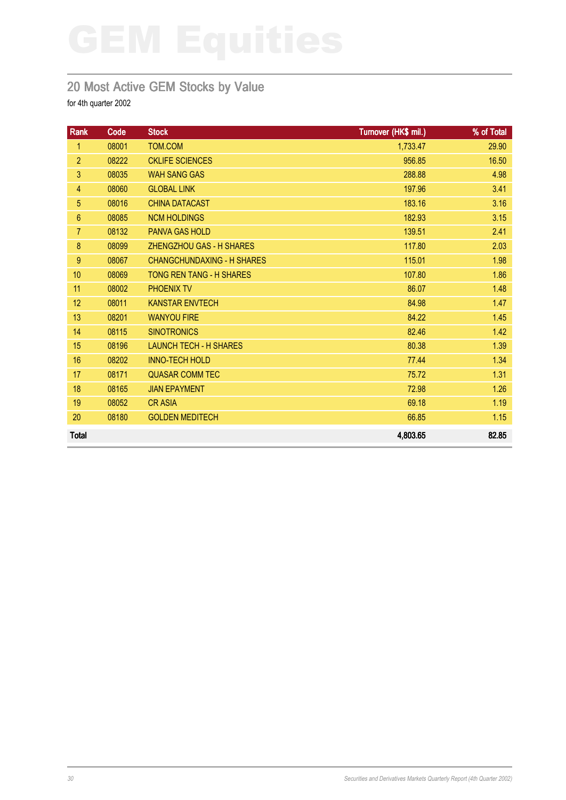### 20 Most Active GEM Stocks by Value

| Rank           | Code  | <b>Stock</b>                      | Turnover (HK\$ mil.) | % of Total |
|----------------|-------|-----------------------------------|----------------------|------------|
| 1              | 08001 | TOM.COM                           | 1,733.47             | 29.90      |
| $\overline{2}$ | 08222 | <b>CKLIFE SCIENCES</b>            | 956.85               | 16.50      |
| 3              | 08035 | <b>WAH SANG GAS</b>               | 288.88               | 4.98       |
| $\overline{4}$ | 08060 | <b>GLOBAL LINK</b>                | 197.96               | 3.41       |
| 5              | 08016 | <b>CHINA DATACAST</b>             | 183.16               | 3.16       |
| $6\phantom{1}$ | 08085 | <b>NCM HOLDINGS</b>               | 182.93               | 3.15       |
| $\overline{7}$ | 08132 | <b>PANVA GAS HOLD</b>             | 139.51               | 2.41       |
| 8              | 08099 | <b>ZHENGZHOU GAS - H SHARES</b>   | 117.80               | 2.03       |
| $9\,$          | 08067 | <b>CHANGCHUNDAXING - H SHARES</b> | 115.01               | 1.98       |
| 10             | 08069 | <b>TONG REN TANG - H SHARES</b>   | 107.80               | 1.86       |
| 11             | 08002 | <b>PHOENIX TV</b>                 | 86.07                | 1.48       |
| 12             | 08011 | <b>KANSTAR ENVTECH</b>            | 84.98                | 1.47       |
| 13             | 08201 | <b>WANYOU FIRE</b>                | 84.22                | 1.45       |
| 14             | 08115 | <b>SINOTRONICS</b>                | 82.46                | 1.42       |
| 15             | 08196 | <b>LAUNCH TECH - H SHARES</b>     | 80.38                | 1.39       |
| 16             | 08202 | <b>INNO-TECH HOLD</b>             | 77.44                | 1.34       |
| 17             | 08171 | <b>QUASAR COMM TEC</b>            | 75.72                | 1.31       |
| 18             | 08165 | <b>JIAN EPAYMENT</b>              | 72.98                | 1.26       |
| 19             | 08052 | <b>CRASIA</b>                     | 69.18                | 1.19       |
| 20             | 08180 | <b>GOLDEN MEDITECH</b>            | 66.85                | 1.15       |
| <b>Total</b>   |       |                                   | 4,803.65             | 82.85      |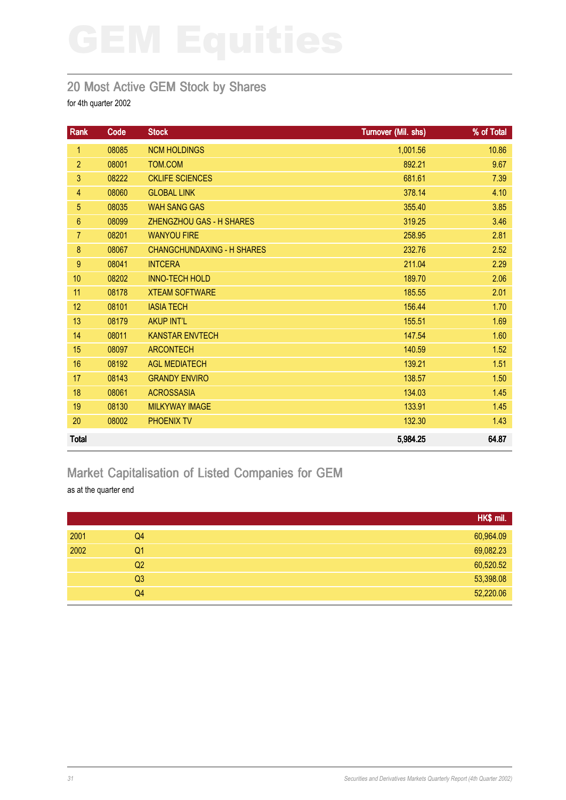### 20 Most Active GEM Stock by Shares

for 4th quarter 2002

| Rank           | Code  | <b>Stock</b>                      | Turnover (Mil. shs) | % of Total |
|----------------|-------|-----------------------------------|---------------------|------------|
| 1              | 08085 | <b>NCM HOLDINGS</b>               | 1,001.56            | 10.86      |
| $\overline{2}$ | 08001 | TOM.COM                           | 892.21              | 9.67       |
| 3              | 08222 | <b>CKLIFE SCIENCES</b>            | 681.61              | 7.39       |
| 4              | 08060 | <b>GLOBAL LINK</b>                | 378.14              | 4.10       |
| 5 <sup>5</sup> | 08035 | <b>WAH SANG GAS</b>               | 355.40              | 3.85       |
| 6              | 08099 | ZHENGZHOU GAS - H SHARES          | 319.25              | 3.46       |
| $\overline{7}$ | 08201 | <b>WANYOU FIRE</b>                | 258.95              | 2.81       |
| 8              | 08067 | <b>CHANGCHUNDAXING - H SHARES</b> | 232.76              | 2.52       |
| $9\,$          | 08041 | <b>INTCERA</b>                    | 211.04              | 2.29       |
| 10             | 08202 | <b>INNO-TECH HOLD</b>             | 189.70              | 2.06       |
| 11             | 08178 | <b>XTEAM SOFTWARE</b>             | 185.55              | 2.01       |
| 12             | 08101 | <b>IASIA TECH</b>                 | 156.44              | 1.70       |
| 13             | 08179 | <b>AKUP INT'L</b>                 | 155.51              | 1.69       |
| 14             | 08011 | <b>KANSTAR ENVTECH</b>            | 147.54              | 1.60       |
| 15             | 08097 | <b>ARCONTECH</b>                  | 140.59              | 1.52       |
| 16             | 08192 | <b>AGL MEDIATECH</b>              | 139.21              | 1.51       |
| 17             | 08143 | <b>GRANDY ENVIRO</b>              | 138.57              | 1.50       |
| 18             | 08061 | <b>ACROSSASIA</b>                 | 134.03              | 1.45       |
| 19             | 08130 | <b>MILKYWAY IMAGE</b>             | 133.91              | 1.45       |
| 20             | 08002 | <b>PHOENIX TV</b>                 | 132.30              | 1.43       |
| <b>Total</b>   |       |                                   | 5,984.25            | 64.87      |

# Market Capitalisation of Listed Companies for GEM

as at the quarter end

|      |                | HK\$ mil. |
|------|----------------|-----------|
| 2001 | Q4             | 60,964.09 |
| 2002 | Q <sub>1</sub> | 69,082.23 |
|      | Q2             | 60,520.52 |
|      | Q <sub>3</sub> | 53,398.08 |
|      | Q <sub>4</sub> | 52,220.06 |
|      |                |           |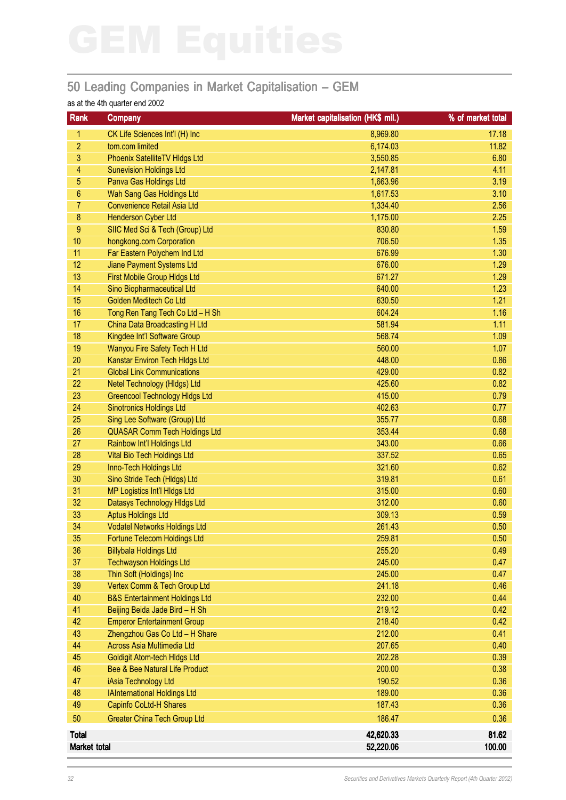### 50 Leading Companies in Market Capitalisation – GEM

### as at the 4th quarter end 2002

| <b>Rank</b>      | <b>Company</b>                            | Market capitalisation (HK\$ mil.) | % of market total |
|------------------|-------------------------------------------|-----------------------------------|-------------------|
| 1.               | CK Life Sciences Int'l (H) Inc            | 8,969.80                          | 17.18             |
| $\overline{2}$   | tom.com limited                           | 6,174.03                          | 11.82             |
| 3                | Phoenix SatelliteTV HIdgs Ltd             | 3,550.85                          | 6.80              |
| 4                | <b>Sunevision Holdings Ltd</b>            | 2,147.81                          | 4.11              |
| 5                | Panva Gas Holdings Ltd                    | 1,663.96                          | 3.19              |
| $\boldsymbol{6}$ | Wah Sang Gas Holdings Ltd                 | 1,617.53                          | 3.10              |
| 7                | <b>Convenience Retail Asia Ltd</b>        | 1,334.40                          | 2.56              |
| $\bf 8$          | <b>Henderson Cyber Ltd</b>                | 1,175.00                          | 2.25              |
| $9\,$            | SIIC Med Sci & Tech (Group) Ltd           | 830.80                            | 1.59              |
| 10               | hongkong.com Corporation                  | 706.50                            | 1.35              |
| 11               | Far Eastern Polychem Ind Ltd              | 676.99                            | 1.30              |
| 12               | <b>Jiane Payment Systems Ltd</b>          | 676.00                            | 1.29              |
| 13               | First Mobile Group Hldgs Ltd              | 671.27                            | 1.29              |
| 14               | Sino Biopharmaceutical Ltd                | 640.00                            | 1.23              |
| 15               | Golden Meditech Co Ltd                    | 630.50                            | 1.21              |
| 16               | Tong Ren Tang Tech Co Ltd - H Sh          | 604.24                            | 1.16              |
| 17               | China Data Broadcasting H Ltd             | 581.94                            | 1.11              |
| 18               | Kingdee Int'l Software Group              | 568.74                            | 1.09              |
| 19               | Wanyou Fire Safety Tech H Ltd             | 560.00                            | 1.07              |
| 20               | Kanstar Environ Tech HIdgs Ltd            | 448.00                            | 0.86              |
| 21               | <b>Global Link Communications</b>         | 429.00                            | 0.82              |
| 22               | Netel Technology (HIdgs) Ltd              | 425.60                            | 0.82              |
| 23               | <b>Greencool Technology Hidgs Ltd</b>     | 415.00                            | 0.79              |
| 24               | <b>Sinotronics Holdings Ltd</b>           | 402.63                            | 0.77              |
| 25               | Sing Lee Software (Group) Ltd             | 355.77                            | 0.68              |
| 26               | <b>QUASAR Comm Tech Holdings Ltd</b>      | 353.44                            | 0.68              |
| 27               | Rainbow Int'l Holdings Ltd                | 343.00                            | 0.66              |
| 28               | <b>Vital Bio Tech Holdings Ltd</b>        | 337.52                            | 0.65              |
| 29               | Inno-Tech Holdings Ltd                    | 321.60                            | 0.62              |
| 30               | Sino Stride Tech (Hldgs) Ltd              | 319.81                            | 0.61              |
| 31               | <b>MP Logistics Int'l HIdgs Ltd</b>       | 315.00                            | 0.60              |
| 32               | Datasys Technology Hidgs Ltd              | 312.00                            | 0.60              |
| 33               | <b>Aptus Holdings Ltd</b>                 | 309.13                            | 0.59              |
| 34               | <b>Vodatel Networks Holdings Ltd</b>      | 261.43                            | 0.50              |
| 35               | Fortune Telecom Holdings Ltd              | 259.81                            | 0.50              |
| 36               | <b>Billybala Holdings Ltd</b>             | 255.20                            | 0.49              |
| 37               | <b>Techwayson Holdings Ltd</b>            | 245.00                            | 0.47              |
| 38               | Thin Soft (Holdings) Inc                  | 245.00                            | 0.47              |
| 39               | Vertex Comm & Tech Group Ltd              | 241.18                            | 0.46              |
| 40               | <b>B&amp;S Entertainment Holdings Ltd</b> | 232.00                            | 0.44              |
| 41               | Beijing Beida Jade Bird - H Sh            | 219.12                            | 0.42              |
| 42               | <b>Emperor Entertainment Group</b>        | 218.40                            | 0.42              |
| 43               | Zhengzhou Gas Co Ltd - H Share            | 212.00                            | 0.41              |
| 44               | <b>Across Asia Multimedia Ltd</b>         | 207.65                            | 0.40              |
| 45               | <b>Goldigit Atom-tech Hldgs Ltd</b>       | 202.28                            | 0.39              |
| 46               | Bee & Bee Natural Life Product            | 200.00                            | 0.38              |
| 47               | iAsia Technology Ltd                      | 190.52                            | 0.36              |
| 48               | <b>IAInternational Holdings Ltd</b>       | 189.00                            | 0.36              |
| 49               | <b>Capinfo CoLtd-H Shares</b>             | 187.43                            | 0.36              |
| 50               | <b>Greater China Tech Group Ltd</b>       | 186.47                            | 0.36              |
| <b>Total</b>     |                                           | 42,620.33                         | 81.62             |
| Market total     |                                           | 52,220.06                         | 100.00            |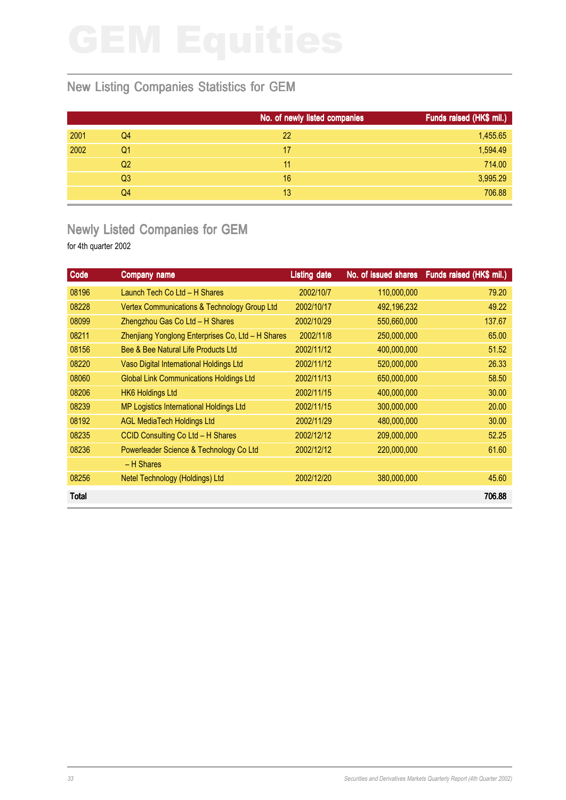### New Listing Companies Statistics for GEM

|                | No. of newly listed companies | Funds raised (HK\$ mil.) |
|----------------|-------------------------------|--------------------------|
| Q4             | 22                            | 1,455.65                 |
| Q <sub>1</sub> | 17                            | 1,594.49                 |
| Q <sub>2</sub> | 11                            | 714.00                   |
| Q <sub>3</sub> | 16                            | 3,995.29                 |
| Q4             | 13                            | 706.88                   |
|                |                               |                          |

### Newly Listed Companies for GEM

| Code         | Company name                                      | <b>Listing date</b> |             | No. of issued shares Funds raised (HK\$ mil.) |
|--------------|---------------------------------------------------|---------------------|-------------|-----------------------------------------------|
| 08196        | Launch Tech Co Ltd - H Shares                     | 2002/10/7           | 110,000,000 | 79.20                                         |
| 08228        | Vertex Communications & Technology Group Ltd      | 2002/10/17          | 492,196,232 | 49.22                                         |
| 08099        | Zhengzhou Gas Co Ltd - H Shares                   | 2002/10/29          | 550,660,000 | 137.67                                        |
| 08211        | Zhenjiang Yonglong Enterprises Co, Ltd - H Shares | 2002/11/8           | 250,000,000 | 65.00                                         |
| 08156        | Bee & Bee Natural Life Products Ltd               | 2002/11/12          | 400,000,000 | 51.52                                         |
| 08220        | Vaso Digital International Holdings Ltd           | 2002/11/12          | 520,000,000 | 26.33                                         |
| 08060        | <b>Global Link Communications Holdings Ltd</b>    | 2002/11/13          | 650,000,000 | 58.50                                         |
| 08206        | <b>HK6 Holdings Ltd</b>                           | 2002/11/15          | 400,000,000 | 30.00                                         |
| 08239        | MP Logistics International Holdings Ltd           | 2002/11/15          | 300,000,000 | 20.00                                         |
| 08192        | <b>AGL MediaTech Holdings Ltd</b>                 | 2002/11/29          | 480,000,000 | 30.00                                         |
| 08235        | CCID Consulting Co Ltd - H Shares                 | 2002/12/12          | 209,000,000 | 52.25                                         |
| 08236        | Powerleader Science & Technology Co Ltd           | 2002/12/12          | 220,000,000 | 61.60                                         |
|              | - H Shares                                        |                     |             |                                               |
| 08256        | Netel Technology (Holdings) Ltd                   | 2002/12/20          | 380,000,000 | 45.60                                         |
| <b>Total</b> |                                                   |                     |             | 706.88                                        |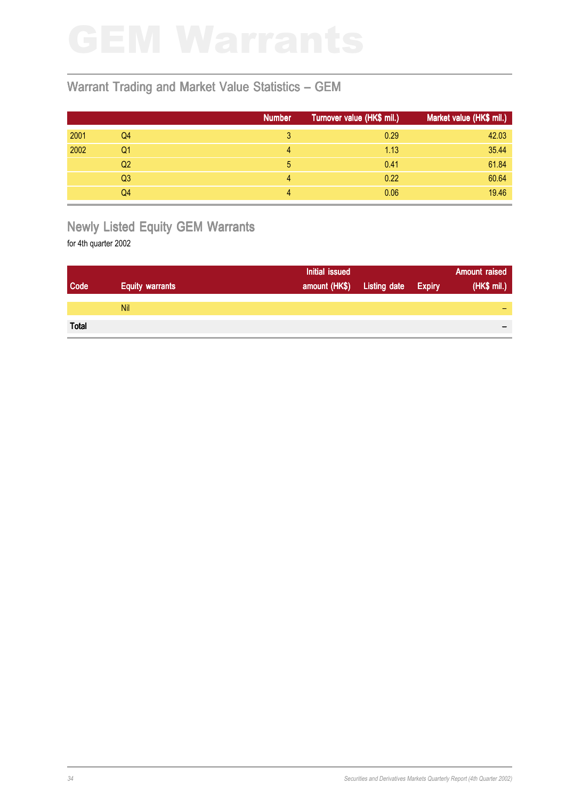### Warrant Trading and Market Value Statistics – GEM

|      |                | <b>Number</b> | Turnover value (HK\$ mil.) | Market value (HK\$ mil.) |
|------|----------------|---------------|----------------------------|--------------------------|
| 2001 | Q4             | 3             | 0.29                       | 42.03                    |
| 2002 | Q1             | 4             | 1.13                       | 35.44                    |
|      | Q2             |               | 0.41                       | 61.84                    |
|      | Q <sub>3</sub> | 4             | 0.22                       | 60.64                    |
|      | Q4             | 4             | 0.06                       | 19.46                    |

# Newly Listed Equity GEM Warrants

|              |                        | Initial issued             |               | <b>Amount raised</b> |
|--------------|------------------------|----------------------------|---------------|----------------------|
| Code         | <b>Equity warrants</b> | amount (HK\$) Listing date | <b>Expiry</b> | (HK\$ mil.)          |
|              |                        |                            |               |                      |
|              | <b>Nil</b>             |                            |               |                      |
|              |                        |                            |               |                      |
| <b>Total</b> |                        |                            |               | $\,$                 |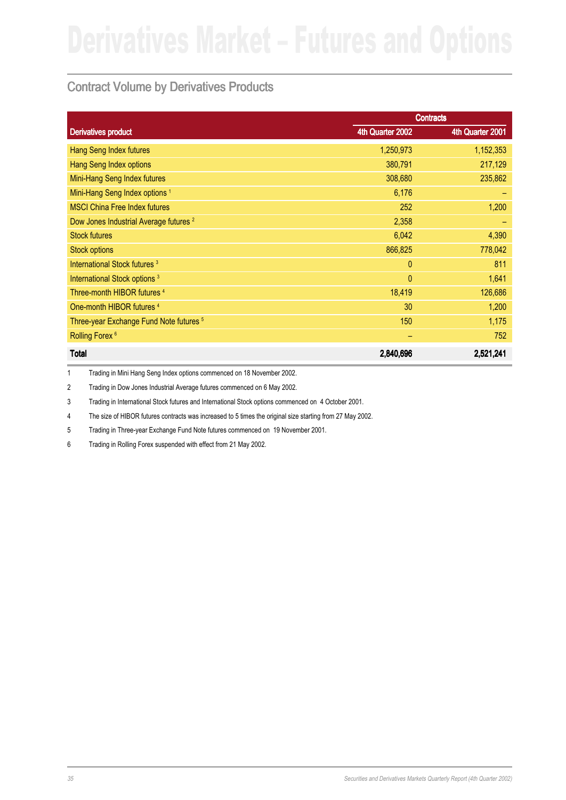### Contract Volume by Derivatives Products

|                                                    |                  | <b>Contracts</b> |
|----------------------------------------------------|------------------|------------------|
| <b>Derivatives product</b>                         | 4th Quarter 2002 | 4th Quarter 2001 |
| <b>Hang Seng Index futures</b>                     | 1,250,973        | 1,152,353        |
| <b>Hang Seng Index options</b>                     | 380,791          | 217,129          |
| Mini-Hang Seng Index futures                       | 308,680          | 235,862          |
| Mini-Hang Seng Index options <sup>1</sup>          | 6,176            |                  |
| <b>MSCI China Free Index futures</b>               | 252              | 1,200            |
| Dow Jones Industrial Average futures <sup>2</sup>  | 2,358            |                  |
| <b>Stock futures</b>                               | 6,042            | 4,390            |
| <b>Stock options</b>                               | 866,825          | 778,042          |
| International Stock futures <sup>3</sup>           | $\mathbf{0}$     | 811              |
| International Stock options <sup>3</sup>           | $\mathbf{0}$     | 1,641            |
| Three-month HIBOR futures <sup>4</sup>             | 18,419           | 126,686          |
| One-month HIBOR futures 4                          | 30               | 1,200            |
| Three-year Exchange Fund Note futures <sup>5</sup> | 150              | 1,175            |
| Rolling Forex <sup>6</sup>                         |                  | 752              |
| <b>Total</b>                                       | 2,840,696        | 2,521,241        |

1 Trading in Mini Hang Seng Index options commenced on 18 November 2002.

2 Trading in Dow Jones Industrial Average futures commenced on 6 May 2002.

3 Trading in International Stock futures and International Stock options commenced on 4 October 2001.

4 The size of HIBOR futures contracts was increased to 5 times the original size starting from 27 May 2002.

5 Trading in Three-year Exchange Fund Note futures commenced on 19 November 2001.

6 Trading in Rolling Forex suspended with effect from 21 May 2002.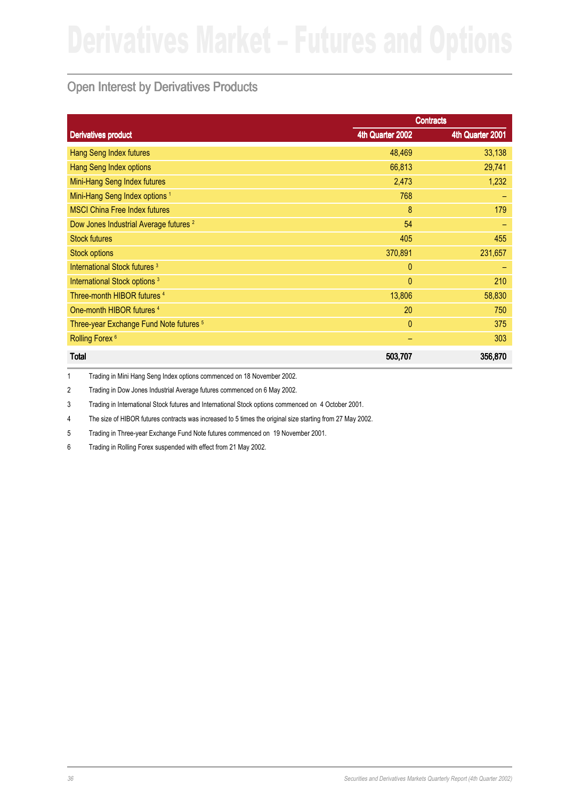### Open Interest by Derivatives Products

|                                                    |                  | <b>Contracts</b> |
|----------------------------------------------------|------------------|------------------|
| <b>Derivatives product</b>                         | 4th Quarter 2002 | 4th Quarter 2001 |
| Hang Seng Index futures                            | 48,469           | 33,138           |
| <b>Hang Seng Index options</b>                     | 66,813           | 29,741           |
| Mini-Hang Seng Index futures                       | 2,473            | 1,232            |
| Mini-Hang Seng Index options <sup>1</sup>          | 768              |                  |
| <b>MSCI China Free Index futures</b>               | 8                | 179              |
| Dow Jones Industrial Average futures <sup>2</sup>  | 54               |                  |
| <b>Stock futures</b>                               | 405              | 455              |
| <b>Stock options</b>                               | 370,891          | 231,657          |
| International Stock futures <sup>3</sup>           | $\mathbf{0}$     |                  |
| International Stock options <sup>3</sup>           | $\mathbf{0}$     | 210              |
| Three-month HIBOR futures 4                        | 13,806           | 58,830           |
| One-month HIBOR futures <sup>4</sup>               | 20               | 750              |
| Three-year Exchange Fund Note futures <sup>5</sup> | $\mathbf{0}$     | 375              |
| Rolling Forex <sup>6</sup>                         | -                | 303              |
| <b>Total</b>                                       | 503,707          | 356,870          |

1 Trading in Mini Hang Seng Index options commenced on 18 November 2002.

2 Trading in Dow Jones Industrial Average futures commenced on 6 May 2002.

3 Trading in International Stock futures and International Stock options commenced on 4 October 2001.

4 The size of HIBOR futures contracts was increased to 5 times the original size starting from 27 May 2002.

5 Trading in Three-year Exchange Fund Note futures commenced on 19 November 2001.

6 Trading in Rolling Forex suspended with effect from 21 May 2002.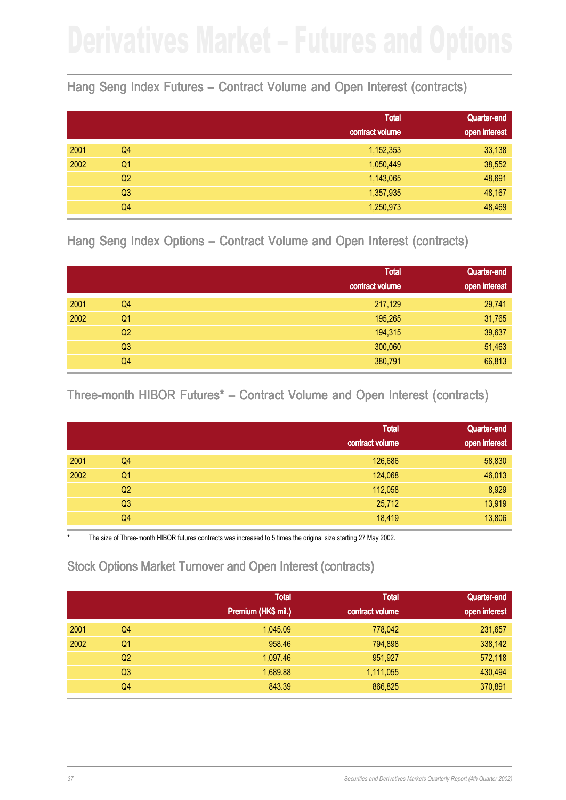### Hang Seng Index Futures – Contract Volume and Open Interest (contracts)

|      |                | <b>Total</b><br>contract volume | <b>Quarter-end</b><br>open interest |
|------|----------------|---------------------------------|-------------------------------------|
| 2001 | Q4             | 1,152,353                       | 33,138                              |
| 2002 | Q <sub>1</sub> | 1,050,449                       | 38,552                              |
|      | Q <sub>2</sub> | 1,143,065                       | 48,691                              |
|      | Q3             | 1,357,935                       | 48,167                              |
|      | Q4             | 1,250,973                       | 48,469                              |

Hang Seng Index Options – Contract Volume and Open Interest (contracts)

|      |                | <b>Total</b><br>contract volume | Quarter-end<br>open interest |
|------|----------------|---------------------------------|------------------------------|
| 2001 | Q4             | 217,129                         | 29,741                       |
| 2002 | Q <sub>1</sub> | 195,265                         | 31,765                       |
|      | Q2             | 194,315                         | 39,637                       |
|      | Q <sub>3</sub> | 300,060                         | 51,463                       |
|      | Q4             | 380,791                         | 66,813                       |

Three-month HIBOR Futures<sup>\*</sup> – Contract Volume and Open Interest (contracts)

|      |                | <b>Total</b>    | Quarter-end   |
|------|----------------|-----------------|---------------|
|      |                | contract volume | open interest |
| 2001 | Q4             | 126,686         | 58,830        |
| 2002 | Q <sub>1</sub> | 124,068         | 46,013        |
|      | Q <sub>2</sub> | 112,058         | 8,929         |
|      | Q <sub>3</sub> | 25,712          | 13,919        |
|      | Q4             | 18,419          | 13,806        |

The size of Three-month HIBOR futures contracts was increased to 5 times the original size starting 27 May 2002.

### Stock Options Market Turnover and Open Interest (contracts)

|      |                | <b>Total</b><br>Premium (HK\$ mil.) | <b>Total</b><br>contract volume | Quarter-end<br>open interest |
|------|----------------|-------------------------------------|---------------------------------|------------------------------|
| 2001 | Q4             | 1.045.09                            | 778,042                         | 231,657                      |
| 2002 | Q1             | 958.46                              | 794,898                         | 338,142                      |
|      | Q <sub>2</sub> | 1,097.46                            | 951,927                         | 572,118                      |
|      | Q <sub>3</sub> | 1,689.88                            | 1,111,055                       | 430,494                      |
|      | Q4             | 843.39                              | 866,825                         | 370,891                      |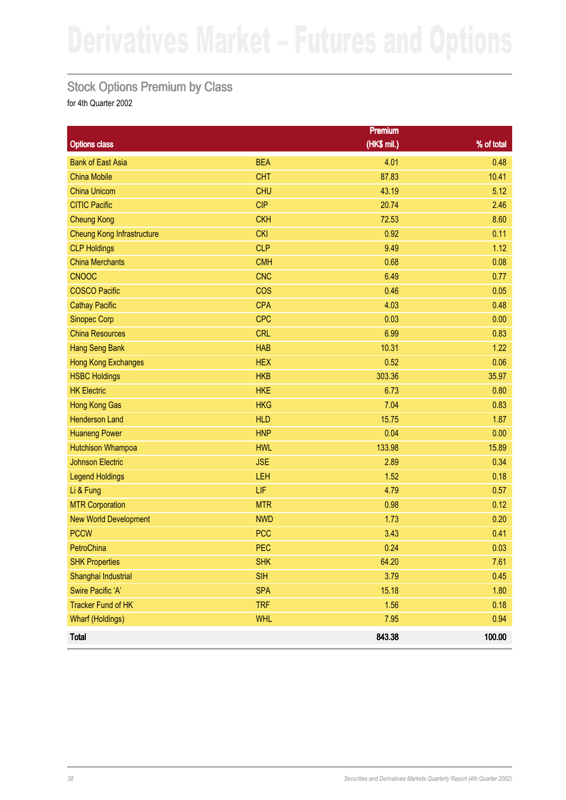### Stock Options Premium by Class

|                                   |            | Premium     |            |
|-----------------------------------|------------|-------------|------------|
| <b>Options class</b>              |            | (HK\$ mil.) | % of total |
| <b>Bank of East Asia</b>          | <b>BEA</b> | 4.01        | 0.48       |
| <b>China Mobile</b>               | <b>CHT</b> | 87.83       | 10.41      |
| <b>China Unicom</b>               | <b>CHU</b> | 43.19       | 5.12       |
| <b>CITIC Pacific</b>              | <b>CIP</b> | 20.74       | 2.46       |
| <b>Cheung Kong</b>                | <b>CKH</b> | 72.53       | 8.60       |
| <b>Cheung Kong Infrastructure</b> | <b>CKI</b> | 0.92        | 0.11       |
| <b>CLP Holdings</b>               | <b>CLP</b> | 9.49        | 1.12       |
| <b>China Merchants</b>            | <b>CMH</b> | 0.68        | 0.08       |
| <b>CNOOC</b>                      | <b>CNC</b> | 6.49        | 0.77       |
| <b>COSCO Pacific</b>              | <b>COS</b> | 0.46        | 0.05       |
| <b>Cathay Pacific</b>             | <b>CPA</b> | 4.03        | 0.48       |
| <b>Sinopec Corp</b>               | <b>CPC</b> | 0.03        | 0.00       |
| <b>China Resources</b>            | <b>CRL</b> | 6.99        | 0.83       |
| Hang Seng Bank                    | <b>HAB</b> | 10.31       | 1.22       |
| <b>Hong Kong Exchanges</b>        | <b>HEX</b> | 0.52        | 0.06       |
| <b>HSBC Holdings</b>              | <b>HKB</b> | 303.36      | 35.97      |
| <b>HK Electric</b>                | <b>HKE</b> | 6.73        | 0.80       |
| Hong Kong Gas                     | <b>HKG</b> | 7.04        | 0.83       |
| <b>Henderson Land</b>             | <b>HLD</b> | 15.75       | 1.87       |
| <b>Huaneng Power</b>              | <b>HNP</b> | 0.04        | 0.00       |
| <b>Hutchison Whampoa</b>          | <b>HWL</b> | 133.98      | 15.89      |
| <b>Johnson Electric</b>           | <b>JSE</b> | 2.89        | 0.34       |
| <b>Legend Holdings</b>            | LEH        | 1.52        | 0.18       |
| Li & Fung                         | LIF        | 4.79        | 0.57       |
| <b>MTR Corporation</b>            | <b>MTR</b> | 0.98        | 0.12       |
| <b>New World Development</b>      | <b>NWD</b> | 1.73        | 0.20       |
| <b>PCCW</b>                       | <b>PCC</b> | 3.43        | 0.41       |
| PetroChina                        | <b>PEC</b> | 0.24        | 0.03       |
| <b>SHK Properties</b>             | <b>SHK</b> | 64.20       | 7.61       |
| Shanghai Industrial               | <b>SIH</b> | 3.79        | 0.45       |
| Swire Pacific 'A'                 | <b>SPA</b> | 15.18       | 1.80       |
| <b>Tracker Fund of HK</b>         | <b>TRF</b> | 1.56        | 0.18       |
| <b>Wharf (Holdings)</b>           | <b>WHL</b> | 7.95        | 0.94       |
| <b>Total</b>                      |            | 843.38      | 100.00     |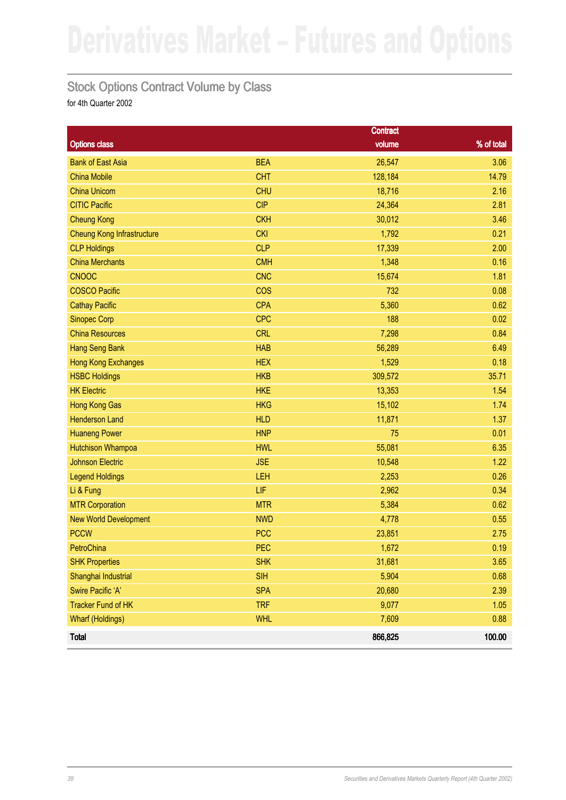### Stock Options Contract Volume by Class

|                                   |            | <b>Contract</b> |            |
|-----------------------------------|------------|-----------------|------------|
| <b>Options class</b>              |            | volume          | % of total |
| <b>Bank of East Asia</b>          | <b>BEA</b> | 26,547          | 3.06       |
| <b>China Mobile</b>               | <b>CHT</b> | 128,184         | 14.79      |
| <b>China Unicom</b>               | <b>CHU</b> | 18,716          | 2.16       |
| <b>CITIC Pacific</b>              | <b>CIP</b> | 24,364          | 2.81       |
| <b>Cheung Kong</b>                | <b>CKH</b> | 30,012          | 3.46       |
| <b>Cheung Kong Infrastructure</b> | <b>CKI</b> | 1,792           | 0.21       |
| <b>CLP Holdings</b>               | <b>CLP</b> | 17,339          | 2.00       |
| <b>China Merchants</b>            | <b>CMH</b> | 1,348           | 0.16       |
| <b>CNOOC</b>                      | <b>CNC</b> | 15,674          | 1.81       |
| <b>COSCO Pacific</b>              | <b>COS</b> | 732             | 0.08       |
| <b>Cathay Pacific</b>             | <b>CPA</b> | 5,360           | 0.62       |
| <b>Sinopec Corp</b>               | <b>CPC</b> | 188             | 0.02       |
| <b>China Resources</b>            | <b>CRL</b> | 7,298           | 0.84       |
| Hang Seng Bank                    | <b>HAB</b> | 56,289          | 6.49       |
| <b>Hong Kong Exchanges</b>        | <b>HEX</b> | 1,529           | 0.18       |
| <b>HSBC Holdings</b>              | <b>HKB</b> | 309,572         | 35.71      |
| <b>HK Electric</b>                | <b>HKE</b> | 13,353          | 1.54       |
| Hong Kong Gas                     | <b>HKG</b> | 15,102          | 1.74       |
| <b>Henderson Land</b>             | <b>HLD</b> | 11,871          | 1.37       |
| <b>Huaneng Power</b>              | <b>HNP</b> | 75              | 0.01       |
| <b>Hutchison Whampoa</b>          | <b>HWL</b> | 55,081          | 6.35       |
| <b>Johnson Electric</b>           | <b>JSE</b> | 10,548          | 1.22       |
| <b>Legend Holdings</b>            | LEH        | 2,253           | 0.26       |
| Li & Fung                         | LIF        | 2,962           | 0.34       |
| <b>MTR Corporation</b>            | <b>MTR</b> | 5,384           | 0.62       |
| <b>New World Development</b>      | <b>NWD</b> | 4,778           | 0.55       |
| <b>PCCW</b>                       | <b>PCC</b> | 23,851          | 2.75       |
| PetroChina                        | <b>PEC</b> | 1,672           | 0.19       |
| <b>SHK Properties</b>             | <b>SHK</b> | 31,681          | 3.65       |
| Shanghai Industrial               | <b>SIH</b> | 5,904           | 0.68       |
| Swire Pacific 'A'                 | <b>SPA</b> | 20,680          | 2.39       |
| <b>Tracker Fund of HK</b>         | <b>TRF</b> | 9,077           | 1.05       |
| <b>Wharf (Holdings)</b>           | <b>WHL</b> | 7,609           | 0.88       |
| <b>Total</b>                      |            | 866,825         | 100.00     |